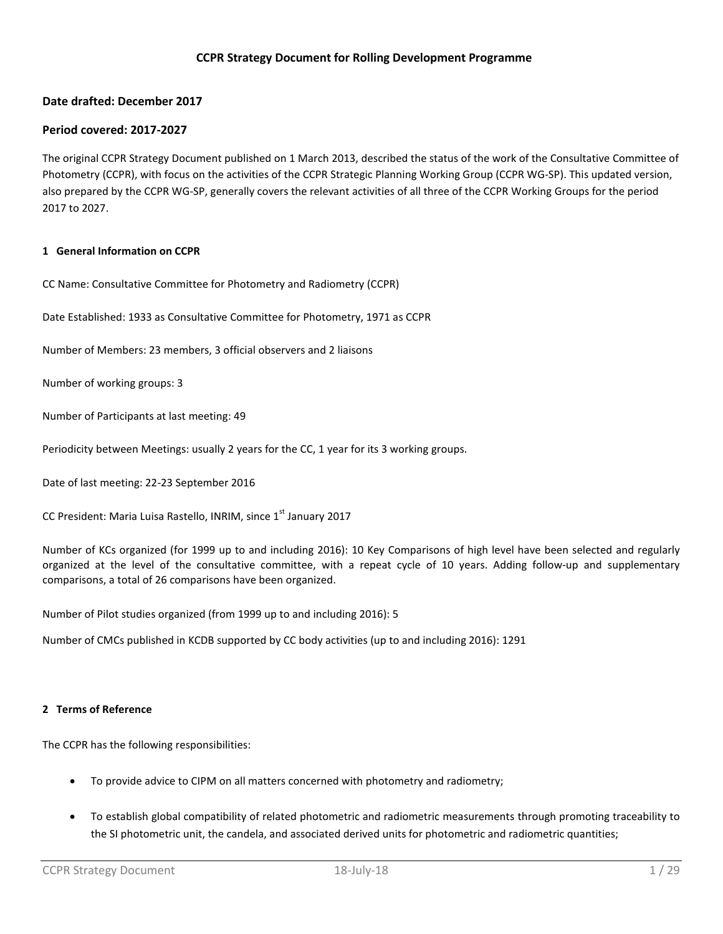# **CCPR Strategy Document for Rolling Development Programme**

# **Date drafted: December 2017**

# **Period covered: 2017-2027**

The original CCPR Strategy Document published on 1 March 2013, described the status of the work of the Consultative Committee of Photometry (CCPR), with focus on the activities of the CCPR Strategic Planning Working Group (CCPR WG-SP). This updated version, also prepared by the CCPR WG-SP, generally covers the relevant activities of all three of the CCPR Working Groups for the period 2017 to 2027.

#### **1 General Information on CCPR**

CC Name: Consultative Committee for Photometry and Radiometry (CCPR)

Date Established: 1933 as Consultative Committee for Photometry, 1971 as CCPR

Number of Members: 23 members, 3 official observers and 2 liaisons

Number of working groups: 3

Number of Participants at last meeting: 49

Periodicity between Meetings: usually 2 years for the CC, 1 year for its 3 working groups.

Date of last meeting: 22-23 September 2016

CC President: Maria Luisa Rastello, INRIM, since 1<sup>st</sup> January 2017

Number of KCs organized (for 1999 up to and including 2016): 10 Key Comparisons of high level have been selected and regularly organized at the level of the consultative committee, with a repeat cycle of 10 years. Adding follow-up and supplementary comparisons, a total of 26 comparisons have been organized.

Number of Pilot studies organized (from 1999 up to and including 2016): 5

Number of CMCs published in KCDB supported by CC body activities (up to and including 2016): 1291

#### **2 Terms of Reference**

The CCPR has the following responsibilities:

- To provide advice to CIPM on all matters concerned with photometry and radiometry;
- To establish global compatibility of related photometric and radiometric measurements through promoting traceability to the SI photometric unit, the candela, and associated derived units for photometric and radiometric quantities;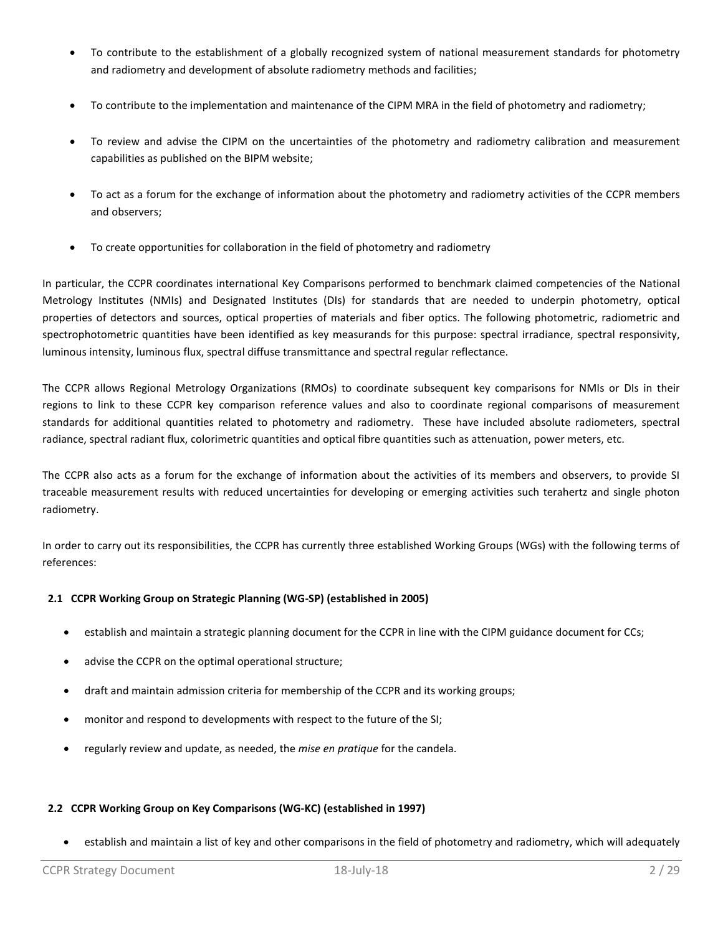- To contribute to the establishment of a globally recognized system of national measurement standards for photometry and radiometry and development of absolute radiometry methods and facilities;
- To contribute to the implementation and maintenance of the CIPM MRA in the field of photometry and radiometry;
- To review and advise the CIPM on the uncertainties of the photometry and radiometry calibration and measurement capabilities as published on the BIPM website;
- To act as a forum for the exchange of information about the photometry and radiometry activities of the CCPR members and observers;
- To create opportunities for collaboration in the field of photometry and radiometry

In particular, the CCPR coordinates international Key Comparisons performed to benchmark claimed competencies of the National Metrology Institutes (NMIs) and Designated Institutes (DIs) for standards that are needed to underpin photometry, optical properties of detectors and sources, optical properties of materials and fiber optics. The following photometric, radiometric and spectrophotometric quantities have been identified as key measurands for this purpose: spectral irradiance, spectral responsivity, luminous intensity, luminous flux, spectral diffuse transmittance and spectral regular reflectance.

The CCPR allows Regional Metrology Organizations (RMOs) to coordinate subsequent key comparisons for NMIs or DIs in their regions to link to these CCPR key comparison reference values and also to coordinate regional comparisons of measurement standards for additional quantities related to photometry and radiometry. These have included absolute radiometers, spectral radiance, spectral radiant flux, colorimetric quantities and optical fibre quantities such as attenuation, power meters, etc.

The CCPR also acts as a forum for the exchange of information about the activities of its members and observers, to provide SI traceable measurement results with reduced uncertainties for developing or emerging activities such terahertz and single photon radiometry.

In order to carry out its responsibilities, the CCPR has currently three established Working Groups (WGs) with the following terms of references:

# **2.1 CCPR Working Group on Strategic Planning (WG-SP) (established in 2005)**

- establish and maintain a strategic planning document for the CCPR in line with the CIPM guidance document for CCs;
- advise the CCPR on the optimal operational structure;
- draft and maintain admission criteria for membership of the CCPR and its working groups;
- monitor and respond to developments with respect to the future of the SI;
- regularly review and update, as needed, the *mise en pratique* for the candela.

# **2.2 CCPR Working Group on Key Comparisons (WG-KC) (established in 1997)**

• establish and maintain a list of key and other comparisons in the field of photometry and radiometry, which will adequately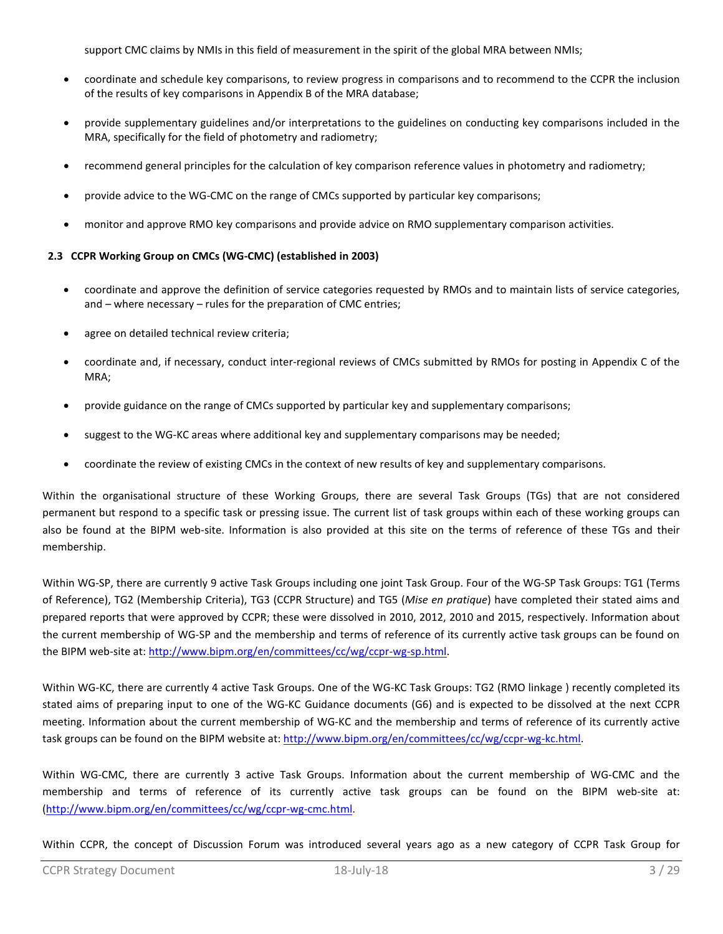support CMC claims by NMIs in this field of measurement in the spirit of the global MRA between NMIs;

- coordinate and schedule key comparisons, to review progress in comparisons and to recommend to the CCPR the inclusion of the results of key comparisons in Appendix B of the MRA database;
- provide supplementary guidelines and/or interpretations to the guidelines on conducting key comparisons included in the MRA, specifically for the field of photometry and radiometry;
- recommend general principles for the calculation of key comparison reference values in photometry and radiometry;
- provide advice to the WG-CMC on the range of CMCs supported by particular key comparisons;
- monitor and approve RMO key comparisons and provide advice on RMO supplementary comparison activities.

# **2.3 CCPR Working Group on CMCs (WG-CMC) (established in 2003)**

- coordinate and approve the definition of service categories requested by RMOs and to maintain lists of service categories, and – where necessary – rules for the preparation of CMC entries;
- agree on detailed technical review criteria:
- coordinate and, if necessary, conduct inter-regional reviews of CMCs submitted by RMOs for posting in Appendix C of the MRA;
- provide guidance on the range of CMCs supported by particular key and supplementary comparisons;
- suggest to the WG-KC areas where additional key and supplementary comparisons may be needed;
- coordinate the review of existing CMCs in the context of new results of key and supplementary comparisons.

Within the organisational structure of these Working Groups, there are several Task Groups (TGs) that are not considered permanent but respond to a specific task or pressing issue. The current list of task groups within each of these working groups can also be found at the BIPM web-site. Information is also provided at this site on the terms of reference of these TGs and their membership.

Within WG-SP, there are currently 9 active Task Groups including one joint Task Group. Four of the WG-SP Task Groups: TG1 (Terms of Reference), TG2 (Membership Criteria), TG3 (CCPR Structure) and TG5 (*Mise en pratique*) have completed their stated aims and prepared reports that were approved by CCPR; these were dissolved in 2010, 2012, 2010 and 2015, respectively. Information about the current membership of WG-SP and the membership and terms of reference of its currently active task groups can be found on the BIPM web-site at: [http://www.bipm.org/en/committees/cc/wg/ccpr-wg-sp.html.](http://www.bipm.org/en/committees/cc/wg/ccpr-wg-sp.html)

Within WG-KC, there are currently 4 active Task Groups. One of the WG-KC Task Groups: TG2 (RMO linkage ) recently completed its stated aims of preparing input to one of the WG-KC Guidance documents (G6) and is expected to be dissolved at the next CCPR meeting. Information about the current membership of WG-KC and the membership and terms of reference of its currently active task groups can be found on the BIPM website at: [http://www.bipm.org/en/committees/cc/wg/ccpr-wg-kc.html.](http://www.bipm.org/en/committees/cc/wg/ccpr-wg-kc.html)

Within WG-CMC, there are currently 3 active Task Groups. Information about the current membership of WG-CMC and the membership and terms of reference of its currently active task groups can be found on the BIPM web-site at: [\(http://www.bipm.org/en/committees/cc/wg/ccpr-wg-cmc.html.](http://www.bipm.org/en/committees/cc/wg/ccpr-wg-cmc.html)

Within CCPR, the concept of Discussion Forum was introduced several years ago as a new category of CCPR Task Group for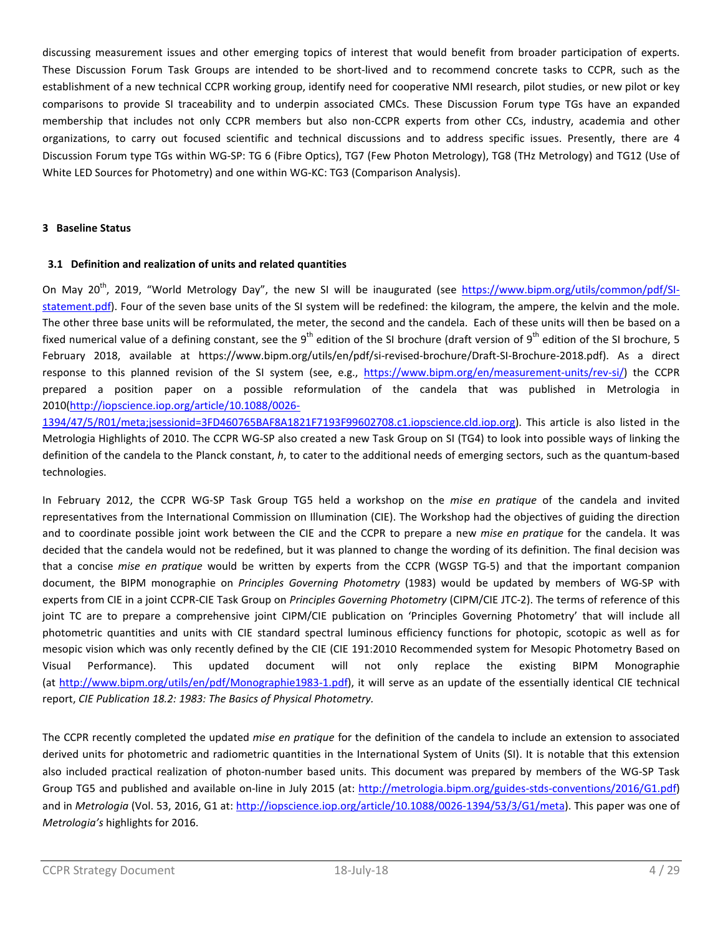discussing measurement issues and other emerging topics of interest that would benefit from broader participation of experts. These Discussion Forum Task Groups are intended to be short-lived and to recommend concrete tasks to CCPR, such as the establishment of a new technical CCPR working group, identify need for cooperative NMI research, pilot studies, or new pilot or key comparisons to provide SI traceability and to underpin associated CMCs. These Discussion Forum type TGs have an expanded membership that includes not only CCPR members but also non-CCPR experts from other CCs, industry, academia and other organizations, to carry out focused scientific and technical discussions and to address specific issues. Presently, there are 4 Discussion Forum type TGs within WG-SP: TG 6 (Fibre Optics), TG7 (Few Photon Metrology), TG8 (THz Metrology) and TG12 (Use of White LED Sources for Photometry) and one within WG-KC: TG3 (Comparison Analysis).

## **3 Baseline Status**

### **3.1 Definition and realization of units and related quantities**

On Mav 20<sup>th</sup>, 2019, "World Metrology Day", the new SI will be inaugurated (see [https://www.bipm.org/utils/common/pdf/SI](https://www.bipm.org/utils/common/pdf/SI-statement.pdf)[statement.pdf\)](https://www.bipm.org/utils/common/pdf/SI-statement.pdf). Four of the seven base units of the SI system will be redefined: the kilogram, the ampere, the kelvin and the mole. The other three base units will be reformulated, the meter, the second and the candela. Each of these units will then be based on a fixed numerical value of a defining constant, see the 9<sup>th</sup> edition of the SI brochure (draft version of 9<sup>th</sup> edition of the SI brochure, 5 February 2018, available at https://www.bipm.org/utils/en/pdf/si-revised-brochure/Draft-SI-Brochure-2018.pdf). As a direct response to this planned revision of the SI system (see, e.g., [https://www.bipm.org/en/measurement-units/rev-si/\)](https://www.bipm.org/en/measurement-units/rev-si/) the CCPR prepared a position paper on a possible reformulation of the candela that was published in Metrologia in 2010[\(http://iopscience.iop.org/article/10.1088/0026-](http://iopscience.iop.org/article/10.1088/0026-1394/47/5/R01/meta;jsessionid=3FD460765BAF8A1821F7193F99602708.c1.iopscience.cld.iop.org)

[1394/47/5/R01/meta;jsessionid=3FD460765BAF8A1821F7193F99602708.c1.iopscience.cld.iop.org\)](http://iopscience.iop.org/article/10.1088/0026-1394/47/5/R01/meta;jsessionid=3FD460765BAF8A1821F7193F99602708.c1.iopscience.cld.iop.org). This article is also listed in the Metrologia Highlights of 2010. The CCPR WG-SP also created a new Task Group on SI (TG4) to look into possible ways of linking the definition of the candela to the Planck constant, *h*, to cater to the additional needs of emerging sectors, such as the quantum-based technologies.

In February 2012, the CCPR WG-SP Task Group TG5 held a workshop on the *mise en pratique* of the candela and invited representatives from the International Commission on Illumination (CIE). The Workshop had the objectives of guiding the direction and to coordinate possible joint work between the CIE and the CCPR to prepare a new *mise en pratique* for the candela. It was decided that the candela would not be redefined, but it was planned to change the wording of its definition. The final decision was that a concise *mise en pratique* would be written by experts from the CCPR (WGSP TG-5) and that the important companion document, the BIPM monographie on *Principles Governing Photometry* (1983) would be updated by members of WG-SP with experts from CIE in a joint CCPR-CIE Task Group on *Principles Governing Photometry* (CIPM/CIE JTC-2). The terms of reference of this joint TC are to prepare a comprehensive joint CIPM/CIE publication on 'Principles Governing Photometry' that will include all photometric quantities and units with CIE standard spectral luminous efficiency functions for photopic, scotopic as well as for mesopic vision which was only recently defined by the CIE (CIE 191:2010 Recommended system for Mesopic Photometry Based on Visual Performance). This updated document will not only replace the existing BIPM Monographie (at [http://www.bipm.org/utils/en/pdf/Monographie1983-1.pdf\)](http://www.bipm.org/utils/en/pdf/Monographie1983-1.pdf), it will serve as an update of the essentially identical CIE technical report, *CIE Publication 18.2: 1983: The Basics of Physical Photometry.*

The CCPR recently completed the updated *mise en pratique* for the definition of the candela to include an extension to associated derived units for photometric and radiometric quantities in the International System of Units (SI). It is notable that this extension also included practical realization of photon-number based units. This document was prepared by members of the WG-SP Task Group TG5 and published and available on-line in July 2015 (at: [http://metrologia.bipm.org/guides-stds-conventions/2016/G1.pdf\)](http://metrologia.bipm.org/guides-stds-conventions/2016/G1.pdf) and in *Metrologia* (Vol. 53, 2016, G1 at: [http://iopscience.iop.org/article/10.1088/0026-1394/53/3/G1/meta\)](http://iopscience.iop.org/article/10.1088/0026-1394/53/3/G1/meta). This paper was one of *Metrologia's* highlights for 2016.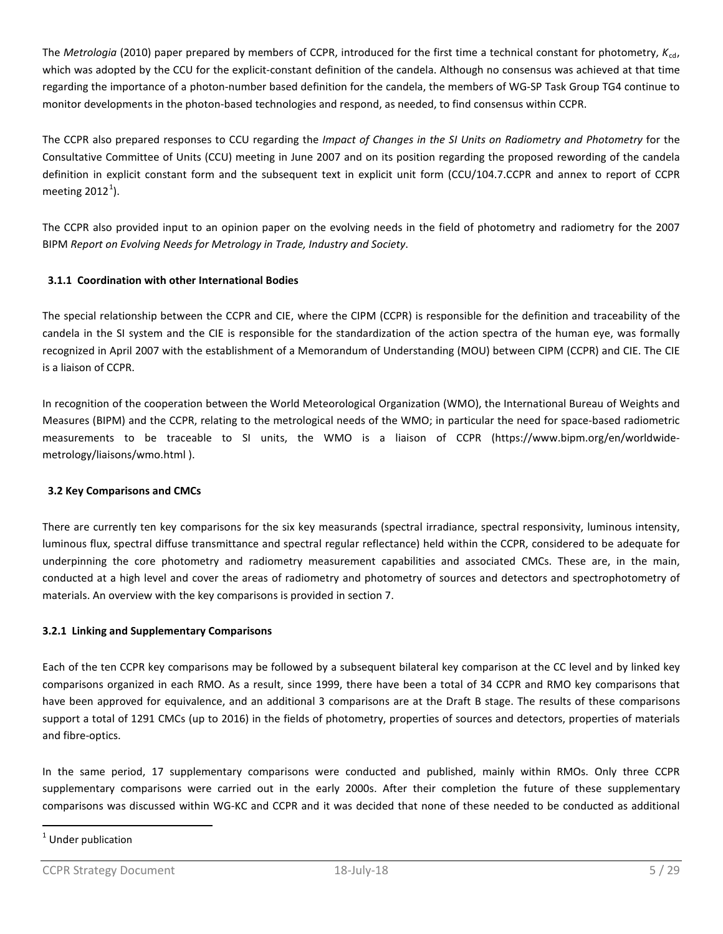The *Metrologia* (2010) paper prepared by members of CCPR, introduced for the first time a technical constant for photometry, *K*cd, which was adopted by the CCU for the explicit-constant definition of the candela. Although no consensus was achieved at that time regarding the importance of a photon-number based definition for the candela, the members of WG-SP Task Group TG4 continue to monitor developments in the photon-based technologies and respond, as needed, to find consensus within CCPR.

The CCPR also prepared responses to CCU regarding the *Impact of Changes in the SI Units on Radiometry and Photometry* for the Consultative Committee of Units (CCU) meeting in June 2007 and on its position regarding the proposed rewording of the candela definition in explicit constant form and the subsequent text in explicit unit form (CCU/104.7.CCPR and annex to report of CCPR meeting  $2012<sup>1</sup>$  $2012<sup>1</sup>$  $2012<sup>1</sup>$ ).

The CCPR also provided input to an opinion paper on the evolving needs in the field of photometry and radiometry for the 2007 BIPM *Report on Evolving Needs for Metrology in Trade, Industry and Society*.

# **3.1.1 Coordination with other International Bodies**

The special relationship between the CCPR and CIE, where the CIPM (CCPR) is responsible for the definition and traceability of the candela in the SI system and the CIE is responsible for the standardization of the action spectra of the human eye, was formally recognized in April 2007 with the establishment of a Memorandum of Understanding (MOU) between CIPM (CCPR) and CIE. The CIE is a liaison of CCPR.

In recognition of the cooperation between the World Meteorological Organization (WMO), the International Bureau of Weights and Measures (BIPM) and the CCPR, relating to the metrological needs of the WMO; in particular the need for space-based radiometric measurements to be traceable to SI units, the WMO is a liaison of CCPR (https://www.bipm.org/en/worldwidemetrology/liaisons/wmo.html ).

# **3.2 Key Comparisons and CMCs**

There are currently ten key comparisons for the six key measurands (spectral irradiance, spectral responsivity, luminous intensity, luminous flux, spectral diffuse transmittance and spectral regular reflectance) held within the CCPR, considered to be adequate for underpinning the core photometry and radiometry measurement capabilities and associated CMCs. These are, in the main, conducted at a high level and cover the areas of radiometry and photometry of sources and detectors and spectrophotometry of materials. An overview with the key comparisons is provided in section 7.

# **3.2.1 Linking and Supplementary Comparisons**

Each of the ten CCPR key comparisons may be followed by a subsequent bilateral key comparison at the CC level and by linked key comparisons organized in each RMO. As a result, since 1999, there have been a total of 34 CCPR and RMO key comparisons that have been approved for equivalence, and an additional 3 comparisons are at the Draft B stage. The results of these comparisons support a total of 1291 CMCs (up to 2016) in the fields of photometry, properties of sources and detectors, properties of materials and fibre-optics.

In the same period, 17 supplementary comparisons were conducted and published, mainly within RMOs. Only three CCPR supplementary comparisons were carried out in the early 2000s. After their completion the future of these supplementary comparisons was discussed within WG-KC and CCPR and it was decided that none of these needed to be conducted as additional

<span id="page-4-0"></span> $1$  Under publication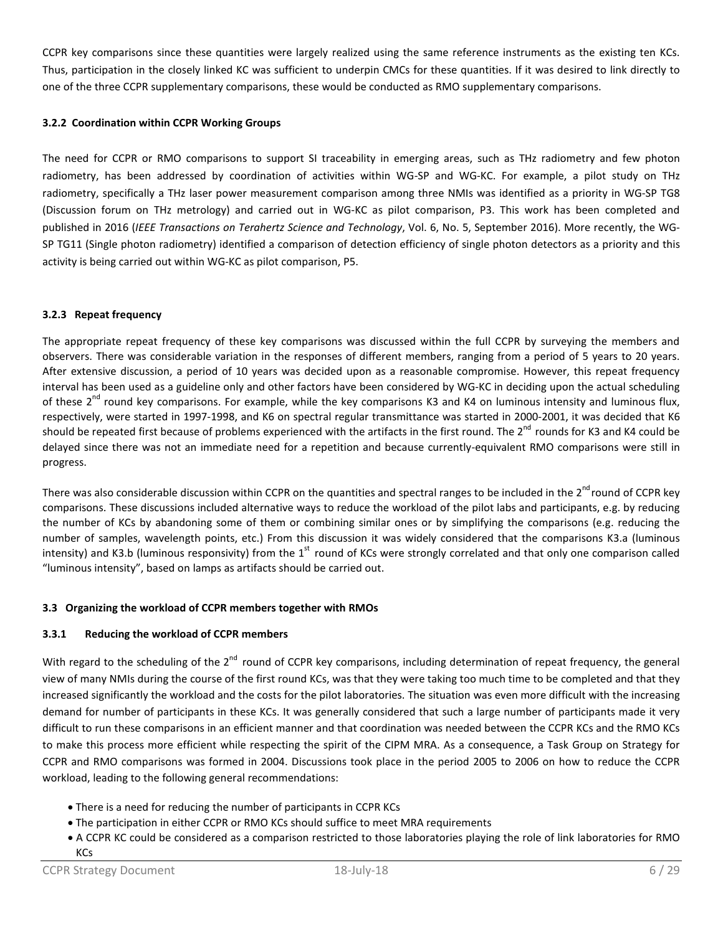CCPR key comparisons since these quantities were largely realized using the same reference instruments as the existing ten KCs. Thus, participation in the closely linked KC was sufficient to underpin CMCs for these quantities. If it was desired to link directly to one of the three CCPR supplementary comparisons, these would be conducted as RMO supplementary comparisons.

# **3.2.2 Coordination within CCPR Working Groups**

The need for CCPR or RMO comparisons to support SI traceability in emerging areas, such as THz radiometry and few photon radiometry, has been addressed by coordination of activities within WG-SP and WG-KC. For example, a pilot study on THz radiometry, specifically a THz laser power measurement comparison among three NMIs was identified as a priority in WG-SP TG8 (Discussion forum on THz metrology) and carried out in WG-KC as pilot comparison, P3. This work has been completed and published in 2016 (*IEEE Transactions on Terahertz Science and Technology*, Vol. 6, No. 5, September 2016). More recently, the WG-SP TG11 (Single photon radiometry) identified a comparison of detection efficiency of single photon detectors as a priority and this activity is being carried out within WG-KC as pilot comparison, P5.

# **3.2.3 Repeat frequency**

The appropriate repeat frequency of these key comparisons was discussed within the full CCPR by surveying the members and observers. There was considerable variation in the responses of different members, ranging from a period of 5 years to 20 years. After extensive discussion, a period of 10 years was decided upon as a reasonable compromise. However, this repeat frequency interval has been used as a guideline only and other factors have been considered by WG-KC in deciding upon the actual scheduling of these  $2^{nd}$  round key comparisons. For example, while the key comparisons K3 and K4 on luminous intensity and luminous flux, respectively, were started in 1997-1998, and K6 on spectral regular transmittance was started in 2000-2001, it was decided that K6 should be repeated first because of problems experienced with the artifacts in the first round. The 2<sup>nd</sup> rounds for K3 and K4 could be delayed since there was not an immediate need for a repetition and because currently-equivalent RMO comparisons were still in progress.

There was also considerable discussion within CCPR on the quantities and spectral ranges to be included in the  $2^{nd}$  round of CCPR kev comparisons. These discussions included alternative ways to reduce the workload of the pilot labs and participants, e.g. by reducing the number of KCs by abandoning some of them or combining similar ones or by simplifying the comparisons (e.g. reducing the number of samples, wavelength points, etc.) From this discussion it was widely considered that the comparisons K3.a (luminous intensity) and K3.b (luminous responsivity) from the  $1<sup>st</sup>$  round of KCs were strongly correlated and that only one comparison called "luminous intensity", based on lamps as artifacts should be carried out.

# **3.3 Organizing the workload of CCPR members together with RMOs**

# **3.3.1 Reducing the workload of CCPR members**

With regard to the scheduling of the 2<sup>nd</sup> round of CCPR key comparisons, including determination of repeat frequency, the general view of many NMIs during the course of the first round KCs, was that they were taking too much time to be completed and that they increased significantly the workload and the costs for the pilot laboratories. The situation was even more difficult with the increasing demand for number of participants in these KCs. It was generally considered that such a large number of participants made it very difficult to run these comparisons in an efficient manner and that coordination was needed between the CCPR KCs and the RMO KCs to make this process more efficient while respecting the spirit of the CIPM MRA. As a consequence, a Task Group on Strategy for CCPR and RMO comparisons was formed in 2004. Discussions took place in the period 2005 to 2006 on how to reduce the CCPR workload, leading to the following general recommendations:

- There is a need for reducing the number of participants in CCPR KCs
- The participation in either CCPR or RMO KCs should suffice to meet MRA requirements
- A CCPR KC could be considered as a comparison restricted to those laboratories playing the role of link laboratories for RMO

KCs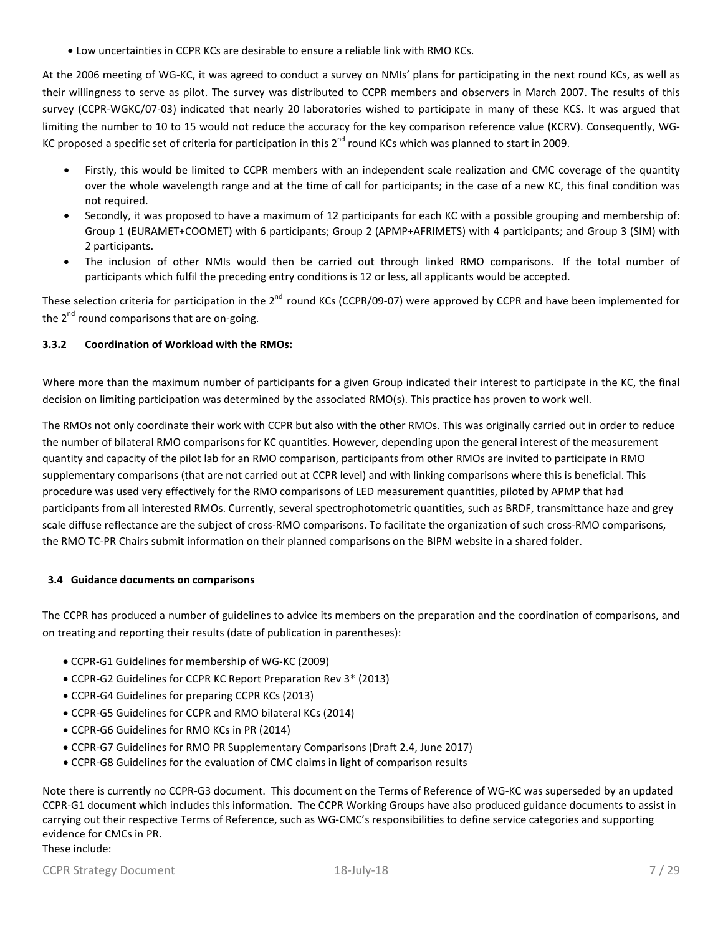• Low uncertainties in CCPR KCs are desirable to ensure a reliable link with RMO KCs.

At the 2006 meeting of WG-KC, it was agreed to conduct a survey on NMIs' plans for participating in the next round KCs, as well as their willingness to serve as pilot. The survey was distributed to CCPR members and observers in March 2007. The results of this survey (CCPR-WGKC/07-03) indicated that nearly 20 laboratories wished to participate in many of these KCS. It was argued that limiting the number to 10 to 15 would not reduce the accuracy for the key comparison reference value (KCRV). Consequently, WG-KC proposed a specific set of criteria for participation in this 2<sup>nd</sup> round KCs which was planned to start in 2009.

- Firstly, this would be limited to CCPR members with an independent scale realization and CMC coverage of the quantity over the whole wavelength range and at the time of call for participants; in the case of a new KC, this final condition was not required.
- Secondly, it was proposed to have a maximum of 12 participants for each KC with a possible grouping and membership of: Group 1 (EURAMET+COOMET) with 6 participants; Group 2 (APMP+AFRIMETS) with 4 participants; and Group 3 (SIM) with 2 participants.
- The inclusion of other NMIs would then be carried out through linked RMO comparisons. If the total number of participants which fulfil the preceding entry conditions is 12 or less, all applicants would be accepted.

These selection criteria for participation in the 2<sup>nd</sup> round KCs (CCPR/09-07) were approved by CCPR and have been implemented for the 2<sup>nd</sup> round comparisons that are on-going.

# **3.3.2 Coordination of Workload with the RMOs:**

Where more than the maximum number of participants for a given Group indicated their interest to participate in the KC, the final decision on limiting participation was determined by the associated RMO(s). This practice has proven to work well.

The RMOs not only coordinate their work with CCPR but also with the other RMOs. This was originally carried out in order to reduce the number of bilateral RMO comparisons for KC quantities. However, depending upon the general interest of the measurement quantity and capacity of the pilot lab for an RMO comparison, participants from other RMOs are invited to participate in RMO supplementary comparisons (that are not carried out at CCPR level) and with linking comparisons where this is beneficial. This procedure was used very effectively for the RMO comparisons of LED measurement quantities, piloted by APMP that had participants from all interested RMOs. Currently, several spectrophotometric quantities, such as BRDF, transmittance haze and grey scale diffuse reflectance are the subject of cross-RMO comparisons. To facilitate the organization of such cross-RMO comparisons, the RMO TC-PR Chairs submit information on their planned comparisons on the BIPM website in a shared folder.

# **3.4 Guidance documents on comparisons**

The CCPR has produced a number of guidelines to advice its members on the preparation and the coordination of comparisons, and on treating and reporting their results (date of publication in parentheses):

- CCPR-G1 Guidelines for membership of WG-KC (2009)
- CCPR-G2 Guidelines for CCPR KC Report Preparation Rev 3\* (2013)
- CCPR-G4 Guidelines for preparing CCPR KCs (2013)
- CCPR-G5 Guidelines for CCPR and RMO bilateral KCs (2014)
- CCPR-G6 Guidelines for RMO KCs in PR (2014)
- CCPR-G7 Guidelines for RMO PR Supplementary Comparisons (Draft 2.4, June 2017)
- CCPR-G8 Guidelines for the evaluation of CMC claims in light of comparison results

Note there is currently no CCPR-G3 document. This document on the Terms of Reference of WG-KC was superseded by an updated CCPR-G1 document which includes this information. The CCPR Working Groups have also produced guidance documents to assist in carrying out their respective Terms of Reference, such as WG-CMC's responsibilities to define service categories and supporting evidence for CMCs in PR.

# These include: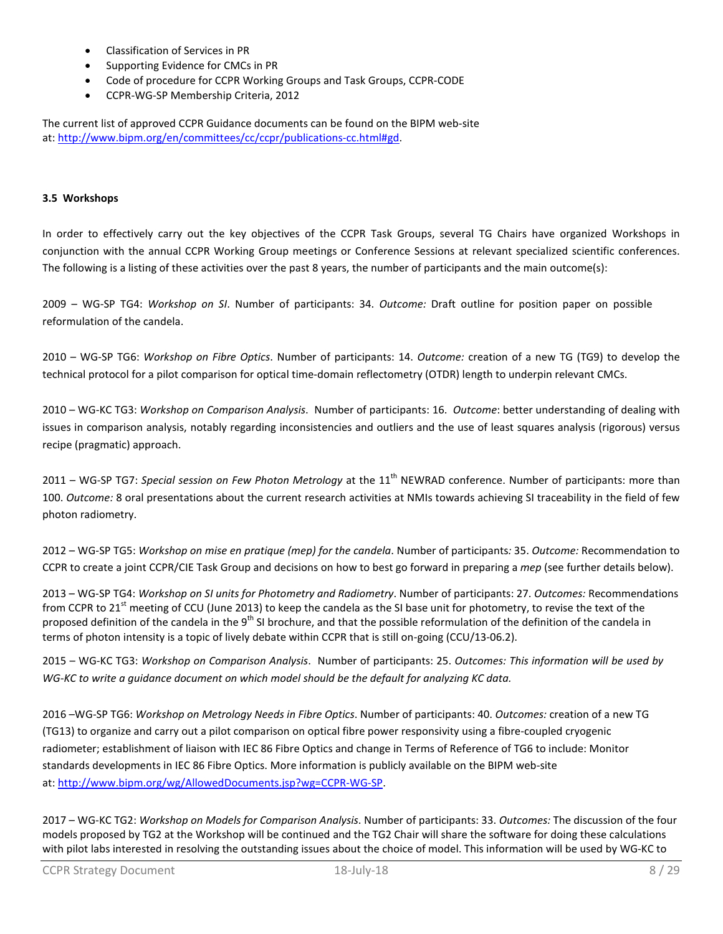- Classification of Services in PR
- Supporting Evidence for CMCs in PR
- Code of procedure for CCPR Working Groups and Task Groups, CCPR-CODE
- CCPR-WG-SP Membership Criteria, 2012

The current list of approved CCPR Guidance documents can be found on the BIPM web-site at: [http://www.bipm.org/en/committees/cc/ccpr/publications-cc.html#gd.](http://www.bipm.org/en/committees/cc/ccpr/publications-cc.html#gd)

### **3.5 Workshops**

In order to effectively carry out the key objectives of the CCPR Task Groups, several TG Chairs have organized Workshops in conjunction with the annual CCPR Working Group meetings or Conference Sessions at relevant specialized scientific conferences. The following is a listing of these activities over the past 8 years, the number of participants and the main outcome(s):

2009 – WG-SP TG4: *Workshop on SI*. Number of participants: 34. *Outcome:* Draft outline for position paper on possible reformulation of the candela.

2010 – WG-SP TG6: *Workshop on Fibre Optics*. Number of participants: 14. *Outcome:* creation of a new TG (TG9) to develop the technical protocol for a pilot comparison for optical time-domain reflectometry (OTDR) length to underpin relevant CMCs.

2010 – WG-KC TG3: *Workshop on Comparison Analysis*. Number of participants: 16. *Outcome*: better understanding of dealing with issues in comparison analysis, notably regarding inconsistencies and outliers and the use of least squares analysis (rigorous) versus recipe (pragmatic) approach.

2011 – WG-SP TG7: Special session on Few Photon Metrology at the 11<sup>th</sup> NEWRAD conference. Number of participants: more than 100. *Outcome:* 8 oral presentations about the current research activities at NMIs towards achieving SI traceability in the field of few photon radiometry.

2012 – WG-SP TG5: *Workshop on mise en pratique (mep) for the candela*. Number of participants*:* 35. *Outcome:* Recommendation to CCPR to create a joint CCPR/CIE Task Group and decisions on how to best go forward in preparing a *mep* (see further details below).

2013 – WG-SP TG4: *Workshop on SI units for Photometry and Radiometry*. Number of participants: 27. *Outcomes:* Recommendations from CCPR to 21<sup>st</sup> meeting of CCU (June 2013) to keep the candela as the SI base unit for photometry, to revise the text of the proposed definition of the candela in the 9<sup>th</sup> SI brochure, and that the possible reformulation of the definition of the candela in terms of photon intensity is a topic of lively debate within CCPR that is still on-going (CCU/13-06.2).

2015 – WG-KC TG3: *Workshop on Comparison Analysis*. Number of participants: 25. *Outcomes: This information will be used by WG-KC to write a guidance document on which model should be the default for analyzing KC data.* 

2016 –WG-SP TG6: *Workshop on Metrology Needs in Fibre Optics*. Number of participants: 40. *Outcomes:* creation of a new TG (TG13) to organize and carry out a pilot comparison on optical fibre power responsivity using a fibre-coupled cryogenic radiometer; establishment of liaison with IEC 86 Fibre Optics and change in Terms of Reference of TG6 to include: Monitor standards developments in IEC 86 Fibre Optics. More information is publicly available on the BIPM web-site at: [http://www.bipm.org/wg/AllowedDocuments.jsp?wg=CCPR-WG-SP.](http://www.bipm.org/wg/AllowedDocuments.jsp?wg=CCPR-WG-SP)

2017 – WG-KC TG2: *Workshop on Models for Comparison Analysis*. Number of participants: 33. *Outcomes:* The discussion of the four models proposed by TG2 at the Workshop will be continued and the TG2 Chair will share the software for doing these calculations with pilot labs interested in resolving the outstanding issues about the choice of model. This information will be used by WG-KC to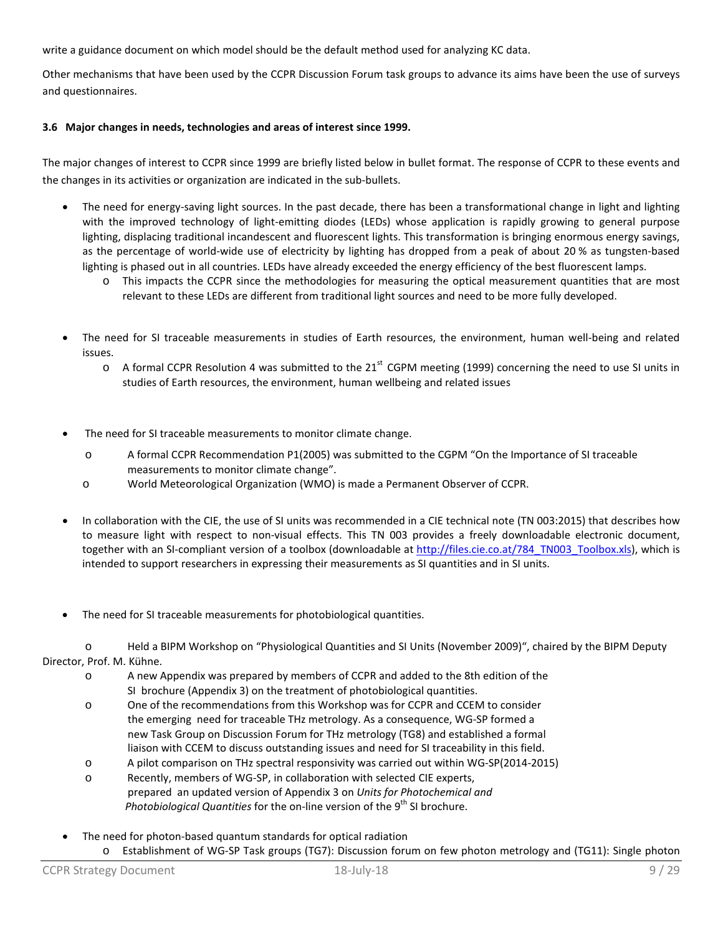write a guidance document on which model should be the default method used for analyzing KC data.

Other mechanisms that have been used by the CCPR Discussion Forum task groups to advance its aims have been the use of surveys and questionnaires.

# **3.6 Major changes in needs, technologies and areas of interest since 1999.**

The major changes of interest to CCPR since 1999 are briefly listed below in bullet format. The response of CCPR to these events and the changes in its activities or organization are indicated in the sub-bullets.

- The need for energy-saving light sources. In the past decade, there has been a transformational change in light and lighting with the improved technology of light-emitting diodes (LEDs) whose application is rapidly growing to general purpose lighting, displacing traditional incandescent and fluorescent lights. This transformation is bringing enormous energy savings, as the percentage of world-wide use of electricity by lighting has dropped from a peak of about 20 % as tungsten-based lighting is phased out in all countries. LEDs have already exceeded the energy efficiency of the best fluorescent lamps.
	- o This impacts the CCPR since the methodologies for measuring the optical measurement quantities that are most relevant to these LEDs are different from traditional light sources and need to be more fully developed.
- The need for SI traceable measurements in studies of Earth resources, the environment, human well-being and related issues.
	- $\circ$  A formal CCPR Resolution 4 was submitted to the 21<sup>st</sup> CGPM meeting (1999) concerning the need to use SI units in studies of Earth resources, the environment, human wellbeing and related issues
- The need for SI traceable measurements to monitor climate change.
	- o A formal CCPR Recommendation P1(2005) was submitted to the CGPM "On the Importance of SI traceable measurements to monitor climate change".
	- o World Meteorological Organization (WMO) is made a Permanent Observer of CCPR.
- In collaboration with the CIE, the use of SI units was recommended in a CIE technical note (TN 003:2015) that describes how to measure light with respect to non-visual effects. This TN 003 provides a freely downloadable electronic document, together with an SI-compliant version of a toolbox (downloadable at [http://files.cie.co.at/784\\_TN003\\_Toolbox.xls\)](http://files.cie.co.at/784_TN003_Toolbox.xls), which is intended to support researchers in expressing their measurements as SI quantities and in SI units.
- The need for SI traceable measurements for photobiological quantities.

o Held a BIPM Workshop on "Physiological Quantities and SI Units (November 2009)", chaired by the BIPM Deputy Director, Prof. M. Kühne.

- o A new Appendix was prepared by members of CCPR and added to the 8th edition of the SI brochure (Appendix 3) on the treatment of photobiological quantities.
- o One of the recommendations from this Workshop was for CCPR and CCEM to consider the emerging need for traceable THz metrology. As a consequence, WG-SP formed a new Task Group on Discussion Forum for THz metrology (TG8) and established a formal liaison with CCEM to discuss outstanding issues and need for SI traceability in this field.
- o A pilot comparison on THz spectral responsivity was carried out within WG-SP(2014-2015)
- o Recently, members of WG-SP, in collaboration with selected CIE experts, prepared an updated version of Appendix 3 on *Units for Photochemical and Photobiological Quantities* for the on-line version of the 9<sup>th</sup> SI brochure.
- The need for photon-based quantum standards for optical radiation o Establishment of WG-SP Task groups (TG7): Discussion forum on few photon metrology and (TG11): Single photon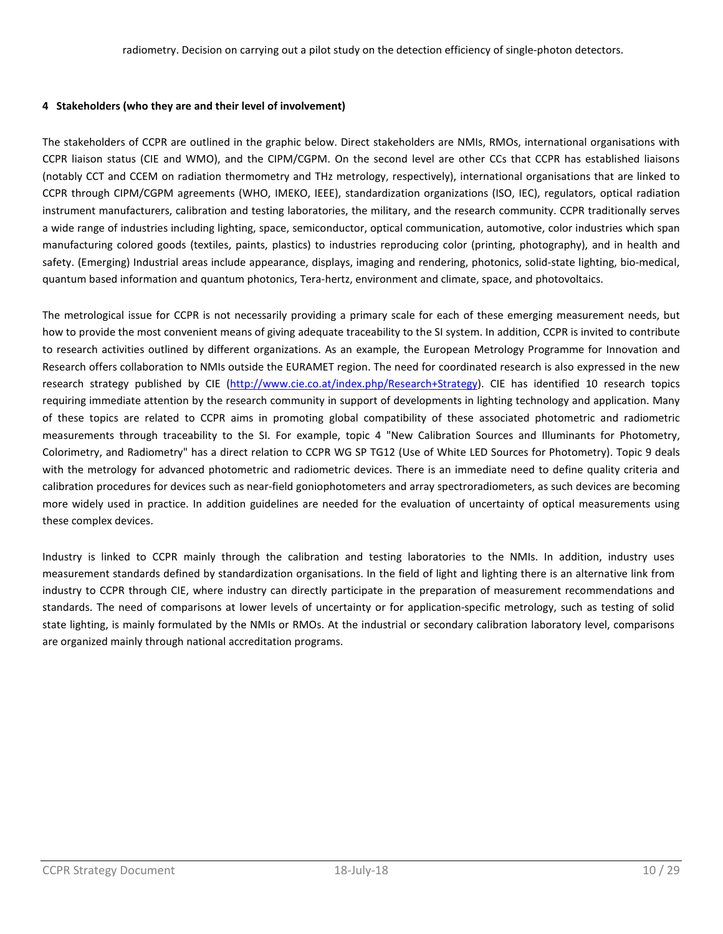## **4 Stakeholders (who they are and their level of involvement)**

The stakeholders of CCPR are outlined in the graphic below. Direct stakeholders are NMIs, RMOs, international organisations with CCPR liaison status (CIE and WMO), and the CIPM/CGPM. On the second level are other CCs that CCPR has established liaisons (notably CCT and CCEM on radiation thermometry and THz metrology, respectively), international organisations that are linked to CCPR through CIPM/CGPM agreements (WHO, IMEKO, IEEE), standardization organizations (ISO, IEC), regulators, optical radiation instrument manufacturers, calibration and testing laboratories, the military, and the research community. CCPR traditionally serves a wide range of industries including lighting, space, semiconductor, optical communication, automotive, color industries which span manufacturing colored goods (textiles, paints, plastics) to industries reproducing color (printing, photography), and in health and safety. (Emerging) Industrial areas include appearance, displays, imaging and rendering, photonics, solid-state lighting, bio-medical, quantum based information and quantum photonics, Tera-hertz, environment and climate, space, and photovoltaics.

The metrological issue for CCPR is not necessarily providing a primary scale for each of these emerging measurement needs, but how to provide the most convenient means of giving adequate traceability to the SI system. In addition, CCPR is invited to contribute to research activities outlined by different organizations. As an example, the European Metrology Programme for Innovation and Research offers collaboration to NMIs outside the EURAMET region. The need for coordinated research is also expressed in the new research strategy published by CIE [\(http://www.cie.co.at/index.php/Research+Strategy\)](http://www.cie.co.at/index.php/Research+Strategy). CIE has identified 10 research topics requiring immediate attention by the research community in support of developments in lighting technology and application. Many of these topics are related to CCPR aims in promoting global compatibility of these associated photometric and radiometric measurements through traceability to the SI. For example, topic 4 "New Calibration Sources and Illuminants for Photometry, Colorimetry, and Radiometry" has a direct relation to CCPR WG SP TG12 (Use of White LED Sources for Photometry). Topic 9 deals with the metrology for advanced photometric and radiometric devices. There is an immediate need to define quality criteria and calibration procedures for devices such as near-field goniophotometers and array spectroradiometers, as such devices are becoming more widely used in practice. In addition guidelines are needed for the evaluation of uncertainty of optical measurements using these complex devices.

Industry is linked to CCPR mainly through the calibration and testing laboratories to the NMIs. In addition, industry uses measurement standards defined by standardization organisations. In the field of light and lighting there is an alternative link from industry to CCPR through CIE, where industry can directly participate in the preparation of measurement recommendations and standards. The need of comparisons at lower levels of uncertainty or for application-specific metrology, such as testing of solid state lighting, is mainly formulated by the NMIs or RMOs. At the industrial or secondary calibration laboratory level, comparisons are organized mainly through national accreditation programs.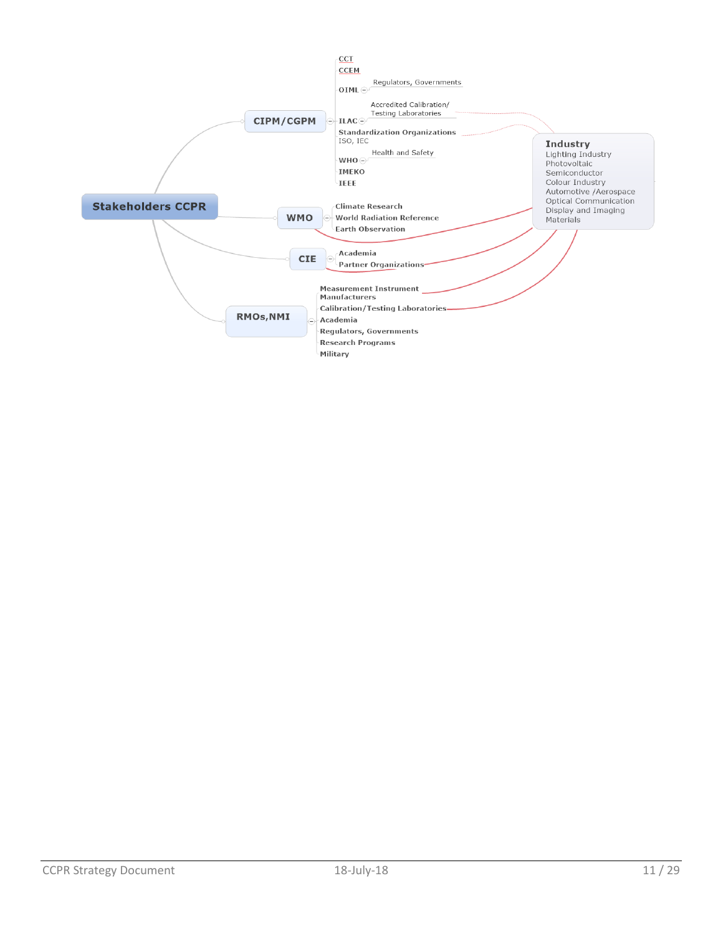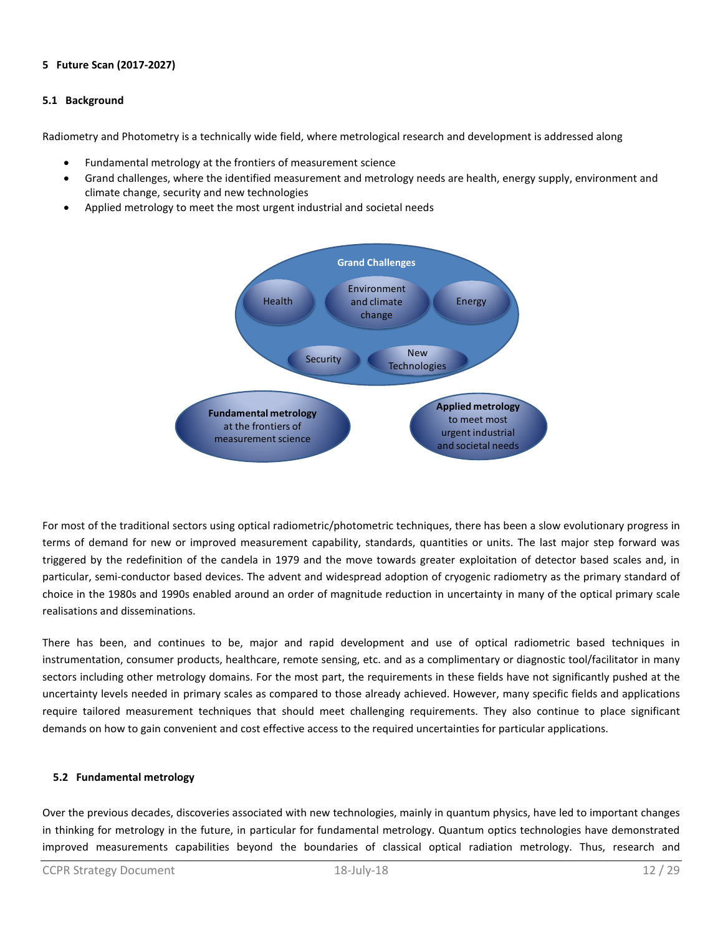# **5 Future Scan (2017-2027)**

## **5.1 Background**

Radiometry and Photometry is a technically wide field, where metrological research and development is addressed along

- Fundamental metrology at the frontiers of measurement science
- Grand challenges, where the identified measurement and metrology needs are health, energy supply, environment and climate change, security and new technologies
- Applied metrology to meet the most urgent industrial and societal needs



For most of the traditional sectors using optical radiometric/photometric techniques, there has been a slow evolutionary progress in terms of demand for new or improved measurement capability, standards, quantities or units. The last major step forward was triggered by the redefinition of the candela in 1979 and the move towards greater exploitation of detector based scales and, in particular, semi-conductor based devices. The advent and widespread adoption of cryogenic radiometry as the primary standard of choice in the 1980s and 1990s enabled around an order of magnitude reduction in uncertainty in many of the optical primary scale realisations and disseminations.

There has been, and continues to be, major and rapid development and use of optical radiometric based techniques in instrumentation, consumer products, healthcare, remote sensing, etc. and as a complimentary or diagnostic tool/facilitator in many sectors including other metrology domains. For the most part, the requirements in these fields have not significantly pushed at the uncertainty levels needed in primary scales as compared to those already achieved. However, many specific fields and applications require tailored measurement techniques that should meet challenging requirements. They also continue to place significant demands on how to gain convenient and cost effective access to the required uncertainties for particular applications.

# **5.2 Fundamental metrology**

Over the previous decades, discoveries associated with new technologies, mainly in quantum physics, have led to important changes in thinking for metrology in the future, in particular for fundamental metrology. Quantum optics technologies have demonstrated improved measurements capabilities beyond the boundaries of classical optical radiation metrology. Thus, research and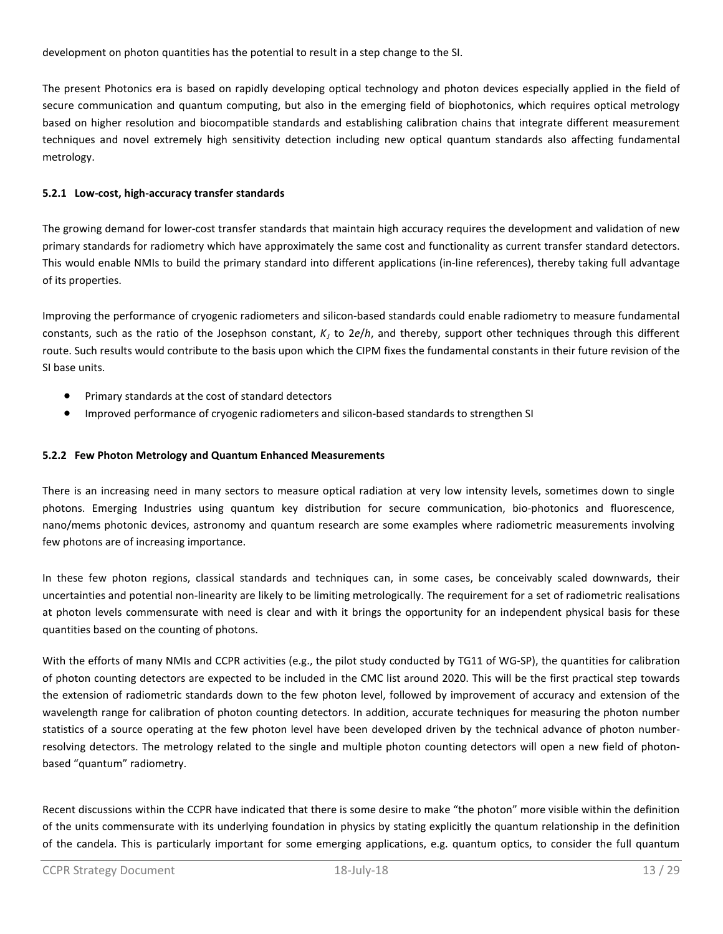development on photon quantities has the potential to result in a step change to the SI.

The present Photonics era is based on rapidly developing optical technology and photon devices especially applied in the field of secure communication and quantum computing, but also in the emerging field of biophotonics, which requires optical metrology based on higher resolution and biocompatible standards and establishing calibration chains that integrate different measurement techniques and novel extremely high sensitivity detection including new optical quantum standards also affecting fundamental metrology.

# **5.2.1 Low-cost, high-accuracy transfer standards**

The growing demand for lower-cost transfer standards that maintain high accuracy requires the development and validation of new primary standards for radiometry which have approximately the same cost and functionality as current transfer standard detectors. This would enable NMIs to build the primary standard into different applications (in-line references), thereby taking full advantage of its properties.

Improving the performance of cryogenic radiometers and silicon-based standards could enable radiometry to measure fundamental constants, such as the ratio of the Josephson constant,  $K<sub>i</sub>$  to 2e/h, and thereby, support other techniques through this different route. Such results would contribute to the basis upon which the CIPM fixes the fundamental constants in their future revision of the SI base units.

- Primary standards at the cost of standard detectors
- Improved performance of cryogenic radiometers and silicon-based standards to strengthen SI

# **5.2.2 Few Photon Metrology and Quantum Enhanced Measurements**

There is an increasing need in many sectors to measure optical radiation at very low intensity levels, sometimes down to single photons. Emerging Industries using quantum key distribution for secure communication, bio-photonics and fluorescence, nano/mems photonic devices, astronomy and quantum research are some examples where radiometric measurements involving few photons are of increasing importance.

In these few photon regions, classical standards and techniques can, in some cases, be conceivably scaled downwards, their uncertainties and potential non-linearity are likely to be limiting metrologically. The requirement for a set of radiometric realisations at photon levels commensurate with need is clear and with it brings the opportunity for an independent physical basis for these quantities based on the counting of photons.

With the efforts of many NMIs and CCPR activities (e.g., the pilot study conducted by TG11 of WG-SP), the quantities for calibration of photon counting detectors are expected to be included in the CMC list around 2020. This will be the first practical step towards the extension of radiometric standards down to the few photon level, followed by improvement of accuracy and extension of the wavelength range for calibration of photon counting detectors. In addition, accurate techniques for measuring the photon number statistics of a source operating at the few photon level have been developed driven by the technical advance of photon numberresolving detectors. The metrology related to the single and multiple photon counting detectors will open a new field of photonbased "quantum" radiometry.

Recent discussions within the CCPR have indicated that there is some desire to make "the photon" more visible within the definition of the units commensurate with its underlying foundation in physics by stating explicitly the quantum relationship in the definition of the candela. This is particularly important for some emerging applications, e.g. quantum optics, to consider the full quantum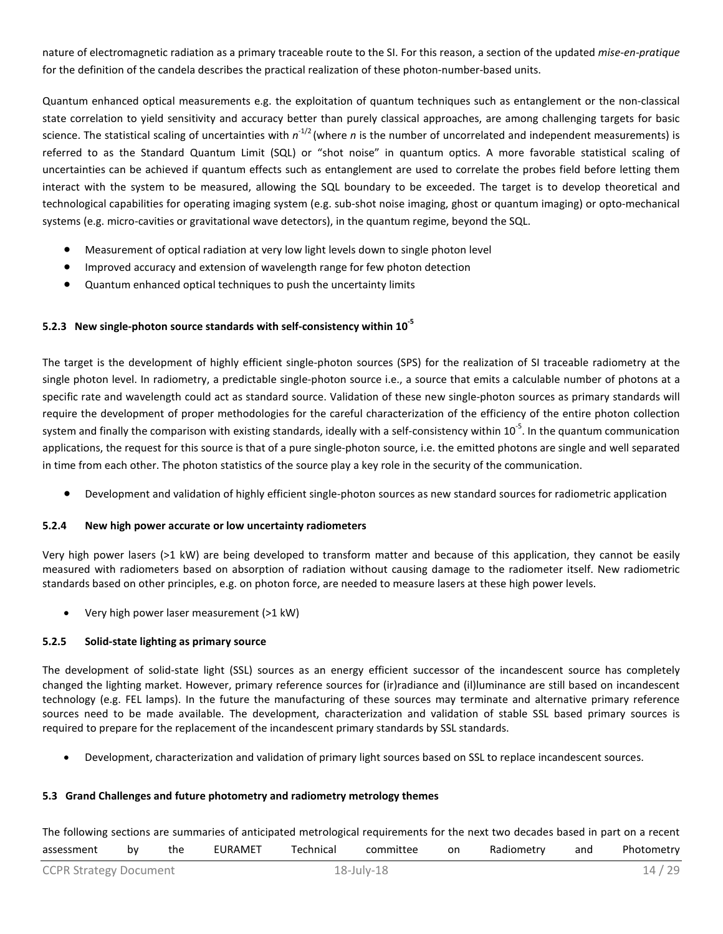nature of electromagnetic radiation as a primary traceable route to the SI. For this reason, a section of the updated *mise-en-pratique* for the definition of the candela describes the practical realization of these photon-number-based units.

Quantum enhanced optical measurements e.g. the exploitation of quantum techniques such as entanglement or the non-classical state correlation to yield sensitivity and accuracy better than purely classical approaches, are among challenging targets for basic science. The statistical scaling of uncertainties with *n*-1/2 (where *n* is the number of uncorrelated and independent measurements) is referred to as the Standard Quantum Limit (SQL) or "shot noise" in quantum optics. A more favorable statistical scaling of uncertainties can be achieved if quantum effects such as entanglement are used to correlate the probes field before letting them interact with the system to be measured, allowing the SQL boundary to be exceeded. The target is to develop theoretical and technological capabilities for operating imaging system (e.g. sub-shot noise imaging, ghost or quantum imaging) or opto-mechanical systems (e.g. micro-cavities or gravitational wave detectors), in the quantum regime, beyond the SQL.

- Measurement of optical radiation at very low light levels down to single photon level
- Improved accuracy and extension of wavelength range for few photon detection
- Quantum enhanced optical techniques to push the uncertainty limits

# **5.2.3 New single-photon source standards with self-consistency within 10-5**

The target is the development of highly efficient single-photon sources (SPS) for the realization of SI traceable radiometry at the single photon level. In radiometry, a predictable single-photon source i.e., a source that emits a calculable number of photons at a specific rate and wavelength could act as standard source. Validation of these new single-photon sources as primary standards will require the development of proper methodologies for the careful characterization of the efficiency of the entire photon collection system and finally the comparison with existing standards, ideally with a self-consistency within 10<sup>-5</sup>. In the quantum communication applications, the request for this source is that of a pure single-photon source, i.e. the emitted photons are single and well separated in time from each other. The photon statistics of the source play a key role in the security of the communication.

• Development and validation of highly efficient single-photon sources as new standard sources for radiometric application

#### **5.2.4 New high power accurate or low uncertainty radiometers**

Very high power lasers (>1 kW) are being developed to transform matter and because of this application, they cannot be easily measured with radiometers based on absorption of radiation without causing damage to the radiometer itself. New radiometric standards based on other principles, e.g. on photon force, are needed to measure lasers at these high power levels.

• Very high power laser measurement (>1 kW)

# **5.2.5 Solid-state lighting as primary source**

The development of solid-state light (SSL) sources as an energy efficient successor of the incandescent source has completely changed the lighting market. However, primary reference sources for (ir)radiance and (il)luminance are still based on incandescent technology (e.g. FEL lamps). In the future the manufacturing of these sources may terminate and alternative primary reference sources need to be made available. The development, characterization and validation of stable SSL based primary sources is required to prepare for the replacement of the incandescent primary standards by SSL standards.

• Development, characterization and validation of primary light sources based on SSL to replace incandescent sources.

# **5.3 Grand Challenges and future photometry and radiometry metrology themes**

The following sections are summaries of anticipated metrological requirements for the next two decades based in part on a recent assessment by the EURAMET Technical committee on Radiometry and Photometry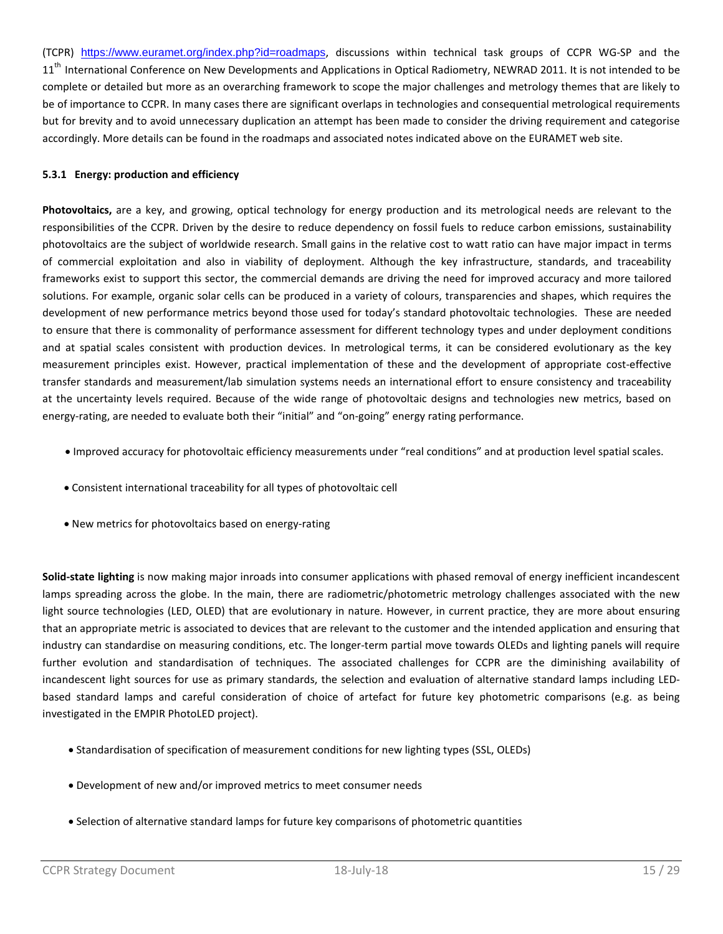(TCPR) https://www.euramet.org/index.php?id=roadmaps, discussions within technical task groups of CCPR WG-SP and the 11<sup>th</sup> International Conference on New Developments and Applications in Optical Radiometry, NEWRAD 2011. It is not intended to be complete or detailed but more as an overarching framework to scope the major challenges and metrology themes that are likely to be of importance to CCPR. In many cases there are significant overlaps in technologies and consequential metrological requirements but for brevity and to avoid unnecessary duplication an attempt has been made to consider the driving requirement and categorise accordingly. More details can be found in the roadmaps and associated notes indicated above on the EURAMET web site.

# **5.3.1 Energy: production and efficiency**

**Photovoltaics,** are a key, and growing, optical technology for energy production and its metrological needs are relevant to the responsibilities of the CCPR. Driven by the desire to reduce dependency on fossil fuels to reduce carbon emissions, sustainability photovoltaics are the subject of worldwide research. Small gains in the relative cost to watt ratio can have major impact in terms of commercial exploitation and also in viability of deployment. Although the key infrastructure, standards, and traceability frameworks exist to support this sector, the commercial demands are driving the need for improved accuracy and more tailored solutions. For example, organic solar cells can be produced in a variety of colours, transparencies and shapes, which requires the development of new performance metrics beyond those used for today's standard photovoltaic technologies. These are needed to ensure that there is commonality of performance assessment for different technology types and under deployment conditions and at spatial scales consistent with production devices. In metrological terms, it can be considered evolutionary as the key measurement principles exist. However, practical implementation of these and the development of appropriate cost-effective transfer standards and measurement/lab simulation systems needs an international effort to ensure consistency and traceability at the uncertainty levels required. Because of the wide range of photovoltaic designs and technologies new metrics, based on energy-rating, are needed to evaluate both their "initial" and "on-going" energy rating performance.

- Improved accuracy for photovoltaic efficiency measurements under "real conditions" and at production level spatial scales.
- Consistent international traceability for all types of photovoltaic cell
- New metrics for photovoltaics based on energy-rating

**Solid-state lighting** is now making major inroads into consumer applications with phased removal of energy inefficient incandescent lamps spreading across the globe. In the main, there are radiometric/photometric metrology challenges associated with the new light source technologies (LED, OLED) that are evolutionary in nature. However, in current practice, they are more about ensuring that an appropriate metric is associated to devices that are relevant to the customer and the intended application and ensuring that industry can standardise on measuring conditions, etc. The longer-term partial move towards OLEDs and lighting panels will require further evolution and standardisation of techniques. The associated challenges for CCPR are the diminishing availability of incandescent light sources for use as primary standards, the selection and evaluation of alternative standard lamps including LEDbased standard lamps and careful consideration of choice of artefact for future key photometric comparisons (e.g. as being investigated in the EMPIR PhotoLED project).

- Standardisation of specification of measurement conditions for new lighting types (SSL, OLEDs)
- Development of new and/or improved metrics to meet consumer needs
- Selection of alternative standard lamps for future key comparisons of photometric quantities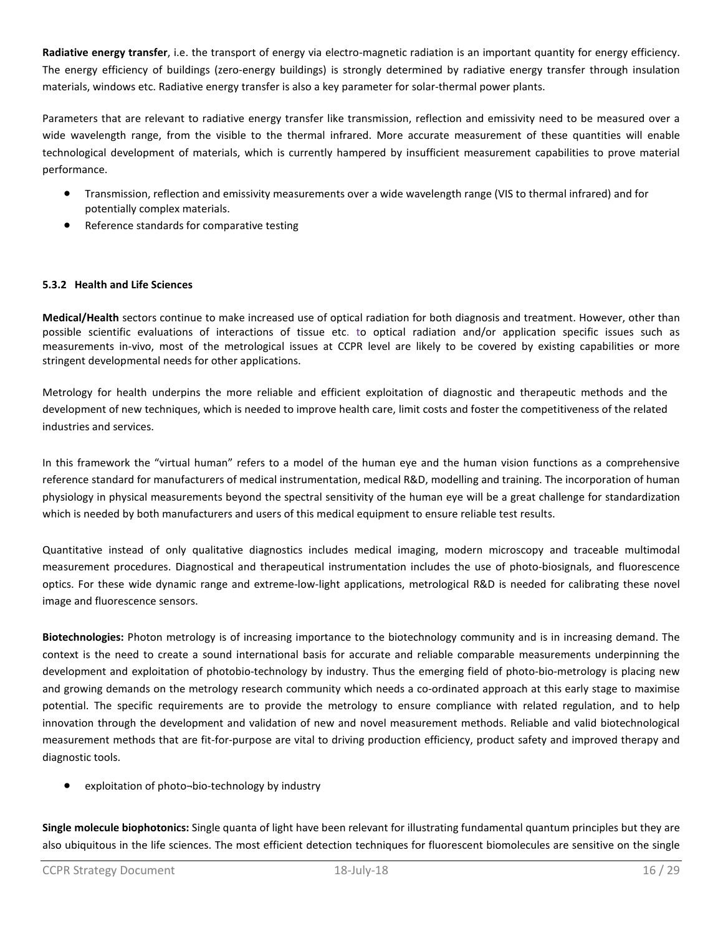**Radiative energy transfer**, i.e. the transport of energy via electro-magnetic radiation is an important quantity for energy efficiency. The energy efficiency of buildings (zero-energy buildings) is strongly determined by radiative energy transfer through insulation materials, windows etc. Radiative energy transfer is also a key parameter for solar-thermal power plants.

Parameters that are relevant to radiative energy transfer like transmission, reflection and emissivity need to be measured over a wide wavelength range, from the visible to the thermal infrared. More accurate measurement of these quantities will enable technological development of materials, which is currently hampered by insufficient measurement capabilities to prove material performance.

- Transmission, reflection and emissivity measurements over a wide wavelength range (VIS to thermal infrared) and for potentially complex materials.
- Reference standards for comparative testing

# **5.3.2 Health and Life Sciences**

**Medical/Health** sectors continue to make increased use of optical radiation for both diagnosis and treatment. However, other than possible scientific evaluations of interactions of tissue etc. to optical radiation and/or application specific issues such as measurements in-vivo, most of the metrological issues at CCPR level are likely to be covered by existing capabilities or more stringent developmental needs for other applications.

Metrology for health underpins the more reliable and efficient exploitation of diagnostic and therapeutic methods and the development of new techniques, which is needed to improve health care, limit costs and foster the competitiveness of the related industries and services.

In this framework the "virtual human" refers to a model of the human eye and the human vision functions as a comprehensive reference standard for manufacturers of medical instrumentation, medical R&D, modelling and training. The incorporation of human physiology in physical measurements beyond the spectral sensitivity of the human eye will be a great challenge for standardization which is needed by both manufacturers and users of this medical equipment to ensure reliable test results.

Quantitative instead of only qualitative diagnostics includes medical imaging, modern microscopy and traceable multimodal measurement procedures. Diagnostical and therapeutical instrumentation includes the use of photo-biosignals, and fluorescence optics. For these wide dynamic range and extreme-low-light applications, metrological R&D is needed for calibrating these novel image and fluorescence sensors.

**Biotechnologies:** Photon metrology is of increasing importance to the biotechnology community and is in increasing demand. The context is the need to create a sound international basis for accurate and reliable comparable measurements underpinning the development and exploitation of photobio-technology by industry. Thus the emerging field of photo-bio-metrology is placing new and growing demands on the metrology research community which needs a co-ordinated approach at this early stage to maximise potential. The specific requirements are to provide the metrology to ensure compliance with related regulation, and to help innovation through the development and validation of new and novel measurement methods. Reliable and valid biotechnological measurement methods that are fit-for-purpose are vital to driving production efficiency, product safety and improved therapy and diagnostic tools.

exploitation of photo-bio-technology by industry

**Single molecule biophotonics:** Single quanta of light have been relevant for illustrating fundamental quantum principles but they are also ubiquitous in the life sciences. The most efficient detection techniques for fluorescent biomolecules are sensitive on the single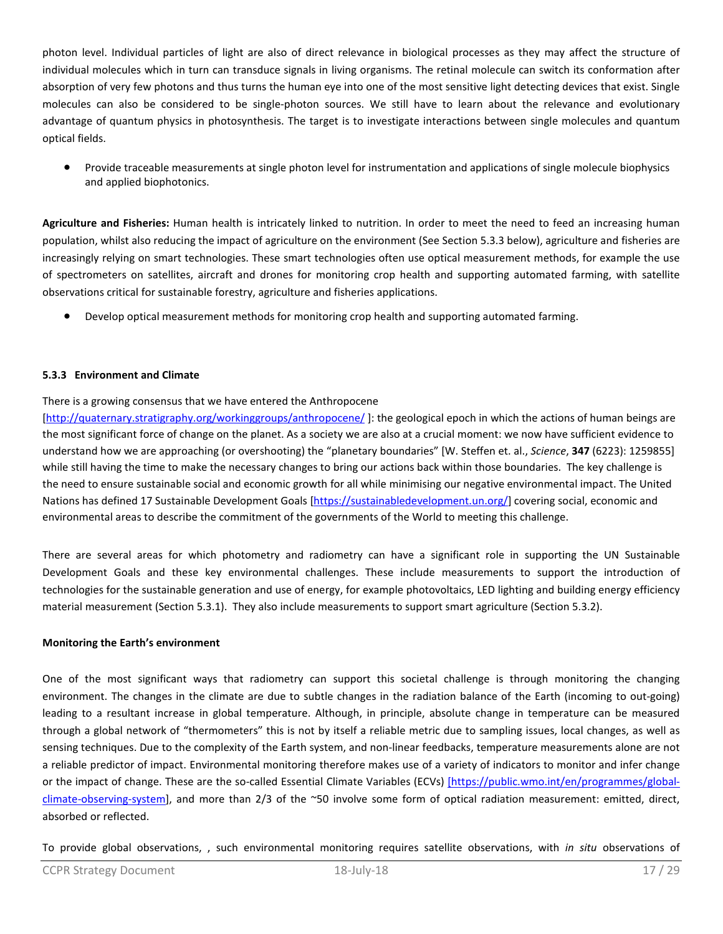photon level. Individual particles of light are also of direct relevance in biological processes as they may affect the structure of individual molecules which in turn can transduce signals in living organisms. The retinal molecule can switch its conformation after absorption of very few photons and thus turns the human eye into one of the most sensitive light detecting devices that exist. Single molecules can also be considered to be single-photon sources. We still have to learn about the relevance and evolutionary advantage of quantum physics in photosynthesis. The target is to investigate interactions between single molecules and quantum optical fields.

• Provide traceable measurements at single photon level for instrumentation and applications of single molecule biophysics and applied biophotonics.

**Agriculture and Fisheries:** Human health is intricately linked to nutrition. In order to meet the need to feed an increasing human population, whilst also reducing the impact of agriculture on the environment (See Section 5.3.3 below), agriculture and fisheries are increasingly relying on smart technologies. These smart technologies often use optical measurement methods, for example the use of spectrometers on satellites, aircraft and drones for monitoring crop health and supporting automated farming, with satellite observations critical for sustainable forestry, agriculture and fisheries applications.

• Develop optical measurement methods for monitoring crop health and supporting automated farming.

# **5.3.3 Environment and Climate**

### There is a growing consensus that we have entered the Anthropocene

[\[http://quaternary.stratigraphy.org/workinggroups/anthropocene/](http://quaternary.stratigraphy.org/workinggroups/anthropocene/) ]: the geological epoch in which the actions of human beings are the most significant force of change on the planet. As a society we are also at a crucial moment: we now have sufficient evidence to understand how we are approaching (or overshooting) the "planetary boundaries" [W. Steffen et. al., *Science*, **347** (6223): 1259855] while still having the time to make the necessary changes to bring our actions back within those boundaries. The key challenge is the need to ensure sustainable social and economic growth for all while minimising our negative environmental impact. The United Nations has defined 17 Sustainable Development Goals [\[https://sustainabledevelopment.un.org/\]](https://sustainabledevelopment.un.org/) covering social, economic and environmental areas to describe the commitment of the governments of the World to meeting this challenge.

There are several areas for which photometry and radiometry can have a significant role in supporting the UN Sustainable Development Goals and these key environmental challenges. These include measurements to support the introduction of technologies for the sustainable generation and use of energy, for example photovoltaics, LED lighting and building energy efficiency material measurement (Section 5.3.1). They also include measurements to support smart agriculture (Section 5.3.2).

#### **Monitoring the Earth's environment**

One of the most significant ways that radiometry can support this societal challenge is through monitoring the changing environment. The changes in the climate are due to subtle changes in the radiation balance of the Earth (incoming to out-going) leading to a resultant increase in global temperature. Although, in principle, absolute change in temperature can be measured through a global network of "thermometers" this is not by itself a reliable metric due to sampling issues, local changes, as well as sensing techniques. Due to the complexity of the Earth system, and non-linear feedbacks, temperature measurements alone are not a reliable predictor of impact. Environmental monitoring therefore makes use of a variety of indicators to monitor and infer change or the impact of change. These are the so-called Essential Climate Variables (ECVs) [\[https://public.wmo.int/en/programmes/global](file://fs02.bipm.org/home$/jviallon/Coordination/CCPR/Strategy/%5Bhttps:/public.wmo.int/en/programmes/global-climate-observing-system)[climate-observing-system\]](file://fs02.bipm.org/home$/jviallon/Coordination/CCPR/Strategy/%5Bhttps:/public.wmo.int/en/programmes/global-climate-observing-system), and more than 2/3 of the ~50 involve some form of optical radiation measurement: emitted, direct, absorbed or reflected.

To provide global observations, , such environmental monitoring requires satellite observations, with *in situ* observations of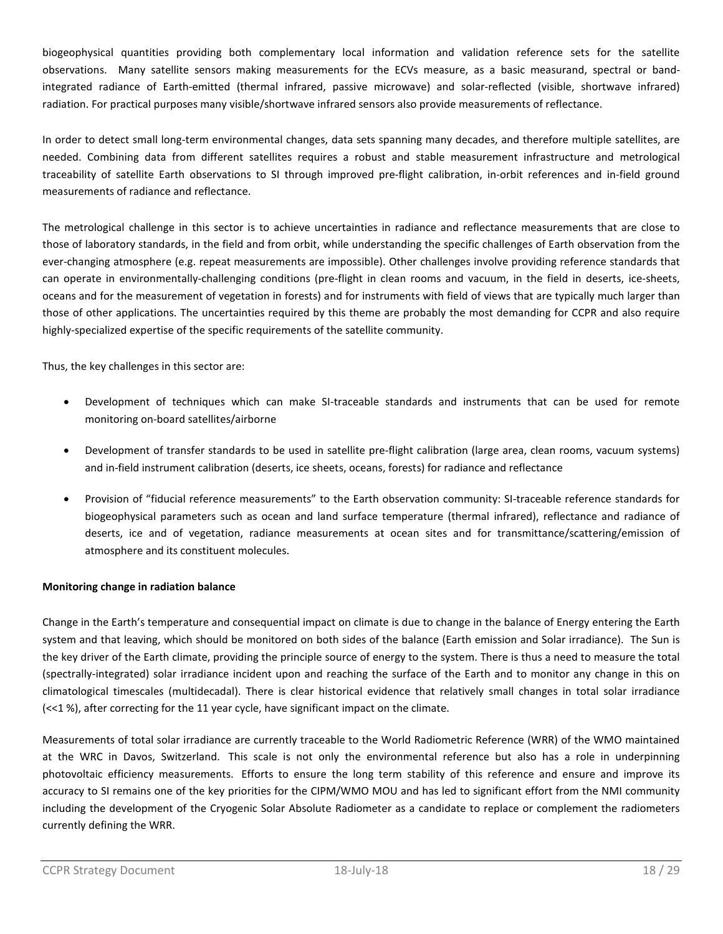biogeophysical quantities providing both complementary local information and validation reference sets for the satellite observations. Many satellite sensors making measurements for the ECVs measure, as a basic measurand, spectral or bandintegrated radiance of Earth-emitted (thermal infrared, passive microwave) and solar-reflected (visible, shortwave infrared) radiation. For practical purposes many visible/shortwave infrared sensors also provide measurements of reflectance.

In order to detect small long-term environmental changes, data sets spanning many decades, and therefore multiple satellites, are needed. Combining data from different satellites requires a robust and stable measurement infrastructure and metrological traceability of satellite Earth observations to SI through improved pre-flight calibration, in-orbit references and in-field ground measurements of radiance and reflectance.

The metrological challenge in this sector is to achieve uncertainties in radiance and reflectance measurements that are close to those of laboratory standards, in the field and from orbit, while understanding the specific challenges of Earth observation from the ever-changing atmosphere (e.g. repeat measurements are impossible). Other challenges involve providing reference standards that can operate in environmentally-challenging conditions (pre-flight in clean rooms and vacuum, in the field in deserts, ice-sheets, oceans and for the measurement of vegetation in forests) and for instruments with field of views that are typically much larger than those of other applications. The uncertainties required by this theme are probably the most demanding for CCPR and also require highly-specialized expertise of the specific requirements of the satellite community.

Thus, the key challenges in this sector are:

- Development of techniques which can make SI-traceable standards and instruments that can be used for remote monitoring on-board satellites/airborne
- Development of transfer standards to be used in satellite pre-flight calibration (large area, clean rooms, vacuum systems) and in-field instrument calibration (deserts, ice sheets, oceans, forests) for radiance and reflectance
- Provision of "fiducial reference measurements" to the Earth observation community: SI-traceable reference standards for biogeophysical parameters such as ocean and land surface temperature (thermal infrared), reflectance and radiance of deserts, ice and of vegetation, radiance measurements at ocean sites and for transmittance/scattering/emission of atmosphere and its constituent molecules.

# **Monitoring change in radiation balance**

Change in the Earth's temperature and consequential impact on climate is due to change in the balance of Energy entering the Earth system and that leaving, which should be monitored on both sides of the balance (Earth emission and Solar irradiance). The Sun is the key driver of the Earth climate, providing the principle source of energy to the system. There is thus a need to measure the total (spectrally-integrated) solar irradiance incident upon and reaching the surface of the Earth and to monitor any change in this on climatological timescales (multidecadal). There is clear historical evidence that relatively small changes in total solar irradiance (<<1 %), after correcting for the 11 year cycle, have significant impact on the climate.

Measurements of total solar irradiance are currently traceable to the World Radiometric Reference (WRR) of the WMO maintained at the WRC in Davos, Switzerland. This scale is not only the environmental reference but also has a role in underpinning photovoltaic efficiency measurements. Efforts to ensure the long term stability of this reference and ensure and improve its accuracy to SI remains one of the key priorities for the CIPM/WMO MOU and has led to significant effort from the NMI community including the development of the Cryogenic Solar Absolute Radiometer as a candidate to replace or complement the radiometers currently defining the WRR.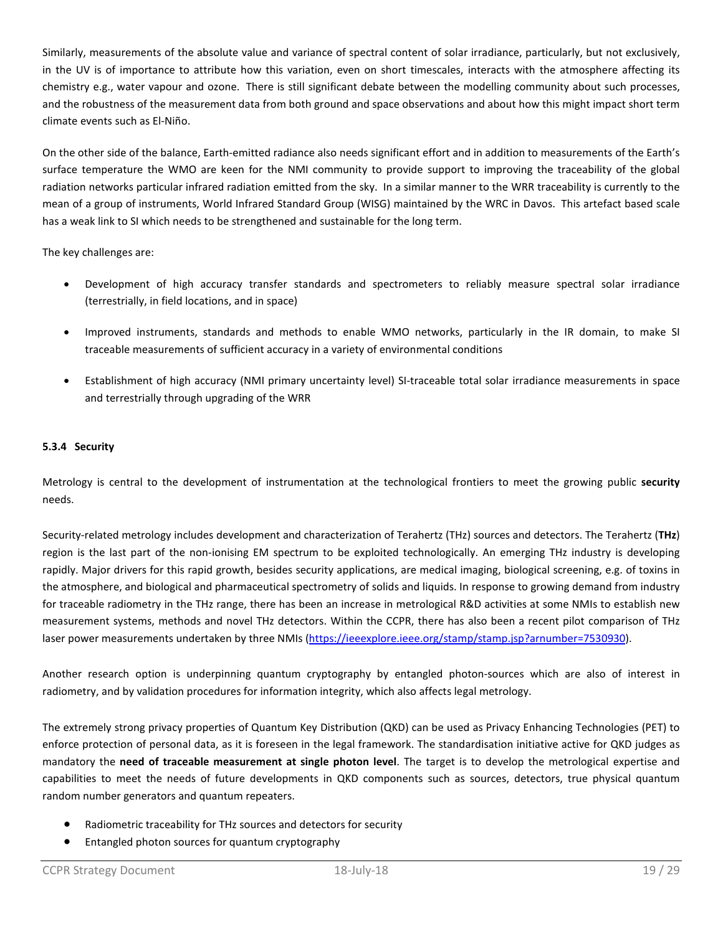Similarly, measurements of the absolute value and variance of spectral content of solar irradiance, particularly, but not exclusively, in the UV is of importance to attribute how this variation, even on short timescales, interacts with the atmosphere affecting its chemistry e.g., water vapour and ozone. There is still significant debate between the modelling community about such processes, and the robustness of the measurement data from both ground and space observations and about how this might impact short term climate events such as El-Niño.

On the other side of the balance, Earth-emitted radiance also needs significant effort and in addition to measurements of the Earth's surface temperature the WMO are keen for the NMI community to provide support to improving the traceability of the global radiation networks particular infrared radiation emitted from the sky. In a similar manner to the WRR traceability is currently to the mean of a group of instruments, World Infrared Standard Group (WISG) maintained by the WRC in Davos. This artefact based scale has a weak link to SI which needs to be strengthened and sustainable for the long term.

The key challenges are:

- Development of high accuracy transfer standards and spectrometers to reliably measure spectral solar irradiance (terrestrially, in field locations, and in space)
- Improved instruments, standards and methods to enable WMO networks, particularly in the IR domain, to make SI traceable measurements of sufficient accuracy in a variety of environmental conditions
- Establishment of high accuracy (NMI primary uncertainty level) SI-traceable total solar irradiance measurements in space and terrestrially through upgrading of the WRR

# **5.3.4 Security**

Metrology is central to the development of instrumentation at the technological frontiers to meet the growing public **security**  needs.

Security-related metrology includes development and characterization of Terahertz (THz) sources and detectors. The Terahertz (**THz**) region is the last part of the non-ionising EM spectrum to be exploited technologically. An emerging THz industry is developing rapidly. Major drivers for this rapid growth, besides security applications, are medical imaging, biological screening, e.g. of toxins in the atmosphere, and biological and pharmaceutical spectrometry of solids and liquids. In response to growing demand from industry for traceable radiometry in the THz range, there has been an increase in metrological R&D activities at some NMIs to establish new measurement systems, methods and novel THz detectors. Within the CCPR, there has also been a recent pilot comparison of THz laser power measurements undertaken by three NMIs [\(https://ieeexplore.ieee.org/stamp/stamp.jsp?arnumber=7530930\)](https://ieeexplore.ieee.org/stamp/stamp.jsp?arnumber=7530930).

Another research option is underpinning quantum cryptography by entangled photon-sources which are also of interest in radiometry, and by validation procedures for information integrity, which also affects legal metrology.

The extremely strong privacy properties of Quantum Key Distribution (QKD) can be used as Privacy Enhancing Technologies (PET) to enforce protection of personal data, as it is foreseen in the legal framework. The standardisation initiative active for QKD judges as mandatory the **need of traceable measurement at single photon level**. The target is to develop the metrological expertise and capabilities to meet the needs of future developments in QKD components such as sources, detectors, true physical quantum random number generators and quantum repeaters.

- Radiometric traceability for THz sources and detectors for security
- Entangled photon sources for quantum cryptography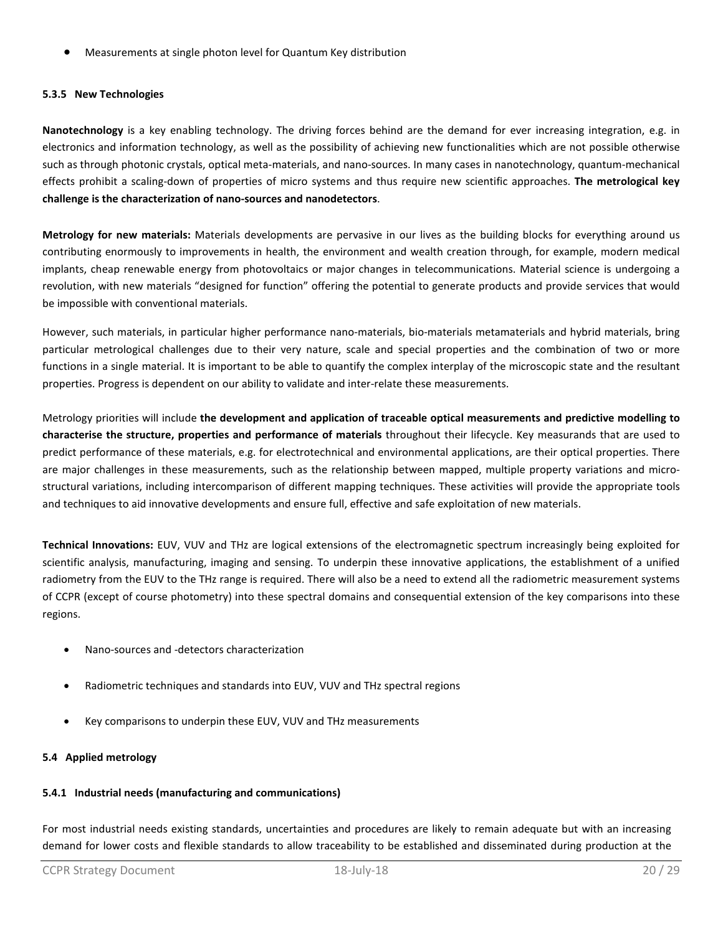• Measurements at single photon level for Quantum Key distribution

# **5.3.5 New Technologies**

**Nanotechnology** is a key enabling technology. The driving forces behind are the demand for ever increasing integration, e.g. in electronics and information technology, as well as the possibility of achieving new functionalities which are not possible otherwise such as through photonic crystals, optical meta-materials, and nano-sources. In many cases in nanotechnology, quantum-mechanical effects prohibit a scaling-down of properties of micro systems and thus require new scientific approaches. **The metrological key challenge is the characterization of nano-sources and nanodetectors**.

**Metrology for new materials:** Materials developments are pervasive in our lives as the building blocks for everything around us contributing enormously to improvements in health, the environment and wealth creation through, for example, modern medical implants, cheap renewable energy from photovoltaics or major changes in telecommunications. Material science is undergoing a revolution, with new materials "designed for function" offering the potential to generate products and provide services that would be impossible with conventional materials.

However, such materials, in particular higher performance nano-materials, bio-materials metamaterials and hybrid materials, bring particular metrological challenges due to their very nature, scale and special properties and the combination of two or more functions in a single material. It is important to be able to quantify the complex interplay of the microscopic state and the resultant properties. Progress is dependent on our ability to validate and inter-relate these measurements.

Metrology priorities will include **the development and application of traceable optical measurements and predictive modelling to characterise the structure, properties and performance of materials** throughout their lifecycle. Key measurands that are used to predict performance of these materials, e.g. for electrotechnical and environmental applications, are their optical properties. There are major challenges in these measurements, such as the relationship between mapped, multiple property variations and microstructural variations, including intercomparison of different mapping techniques. These activities will provide the appropriate tools and techniques to aid innovative developments and ensure full, effective and safe exploitation of new materials.

**Technical Innovations:** EUV, VUV and THz are logical extensions of the electromagnetic spectrum increasingly being exploited for scientific analysis, manufacturing, imaging and sensing. To underpin these innovative applications, the establishment of a unified radiometry from the EUV to the THz range is required. There will also be a need to extend all the radiometric measurement systems of CCPR (except of course photometry) into these spectral domains and consequential extension of the key comparisons into these regions.

- Nano-sources and -detectors characterization
- Radiometric techniques and standards into EUV, VUV and THz spectral regions
- Key comparisons to underpin these EUV, VUV and THz measurements

# **5.4 Applied metrology**

# **5.4.1 Industrial needs (manufacturing and communications)**

For most industrial needs existing standards, uncertainties and procedures are likely to remain adequate but with an increasing demand for lower costs and flexible standards to allow traceability to be established and disseminated during production at the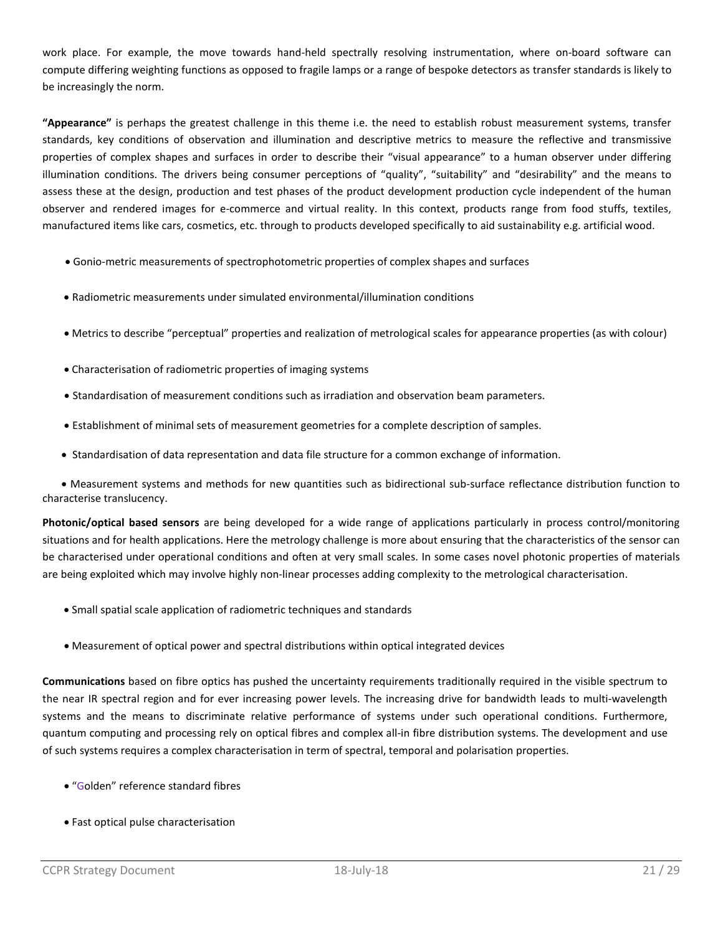work place. For example, the move towards hand-held spectrally resolving instrumentation, where on-board software can compute differing weighting functions as opposed to fragile lamps or a range of bespoke detectors as transfer standards is likely to be increasingly the norm.

**"Appearance"** is perhaps the greatest challenge in this theme i.e. the need to establish robust measurement systems, transfer standards, key conditions of observation and illumination and descriptive metrics to measure the reflective and transmissive properties of complex shapes and surfaces in order to describe their "visual appearance" to a human observer under differing illumination conditions. The drivers being consumer perceptions of "quality", "suitability" and "desirability" and the means to assess these at the design, production and test phases of the product development production cycle independent of the human observer and rendered images for e-commerce and virtual reality. In this context, products range from food stuffs, textiles, manufactured items like cars, cosmetics, etc. through to products developed specifically to aid sustainability e.g. artificial wood.

- Gonio-metric measurements of spectrophotometric properties of complex shapes and surfaces
- Radiometric measurements under simulated environmental/illumination conditions
- Metrics to describe "perceptual" properties and realization of metrological scales for appearance properties (as with colour)
- Characterisation of radiometric properties of imaging systems
- Standardisation of measurement conditions such as irradiation and observation beam parameters.
- Establishment of minimal sets of measurement geometries for a complete description of samples.
- Standardisation of data representation and data file structure for a common exchange of information.

 • Measurement systems and methods for new quantities such as bidirectional sub-surface reflectance distribution function to characterise translucency.

**Photonic/optical based sensors** are being developed for a wide range of applications particularly in process control/monitoring situations and for health applications. Here the metrology challenge is more about ensuring that the characteristics of the sensor can be characterised under operational conditions and often at very small scales. In some cases novel photonic properties of materials are being exploited which may involve highly non-linear processes adding complexity to the metrological characterisation.

- Small spatial scale application of radiometric techniques and standards
- Measurement of optical power and spectral distributions within optical integrated devices

**Communications** based on fibre optics has pushed the uncertainty requirements traditionally required in the visible spectrum to the near IR spectral region and for ever increasing power levels. The increasing drive for bandwidth leads to multi-wavelength systems and the means to discriminate relative performance of systems under such operational conditions. Furthermore, quantum computing and processing rely on optical fibres and complex all-in fibre distribution systems. The development and use of such systems requires a complex characterisation in term of spectral, temporal and polarisation properties.

- "Golden" reference standard fibres
- Fast optical pulse characterisation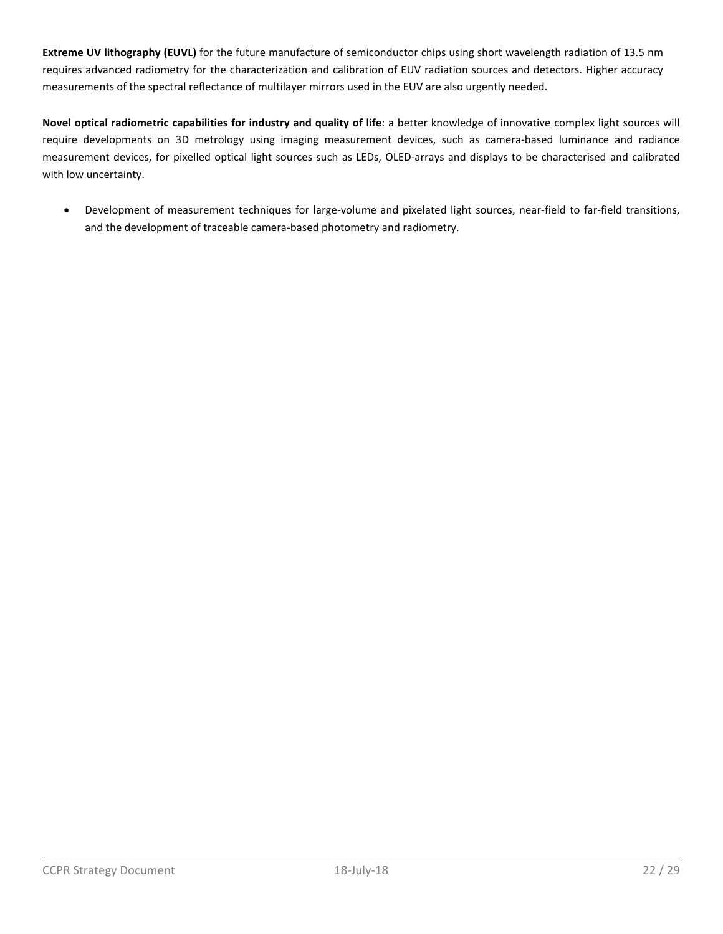**Extreme UV lithography (EUVL)** for the future manufacture of semiconductor chips using short wavelength radiation of 13.5 nm requires advanced radiometry for the characterization and calibration of EUV radiation sources and detectors. Higher accuracy measurements of the spectral reflectance of multilayer mirrors used in the EUV are also urgently needed.

**Novel optical radiometric capabilities for industry and quality of life**: a better knowledge of innovative complex light sources will require developments on 3D metrology using imaging measurement devices, such as camera-based luminance and radiance measurement devices, for pixelled optical light sources such as LEDs, OLED-arrays and displays to be characterised and calibrated with low uncertainty.

• Development of measurement techniques for large-volume and pixelated light sources, near-field to far-field transitions, and the development of traceable camera-based photometry and radiometry.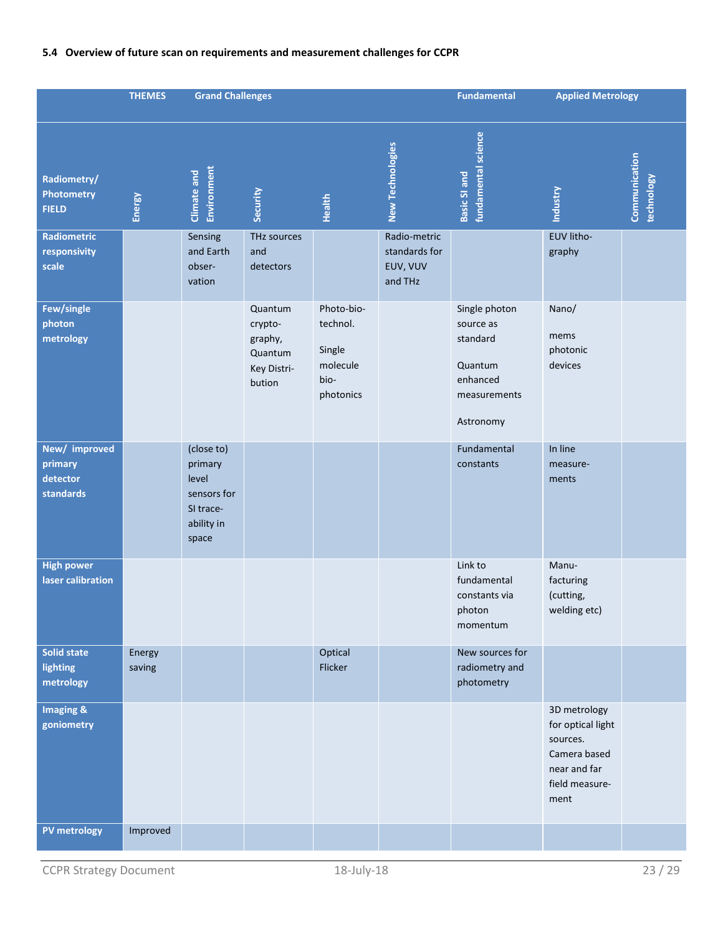# **5.4 Overview of future scan on requirements and measurement challenges for CCPR**

|                                                                 | <b>THEMES</b>    | <b>Grand Challenges</b>                                                           |                                                                   |                                                                   | <b>Fundamental</b>                      | <b>Applied Metrology</b>                                                                   |                                                                                                         |                             |
|-----------------------------------------------------------------|------------------|-----------------------------------------------------------------------------------|-------------------------------------------------------------------|-------------------------------------------------------------------|-----------------------------------------|--------------------------------------------------------------------------------------------|---------------------------------------------------------------------------------------------------------|-----------------------------|
| Radiometry/<br><b>Photometry</b><br><b>FIELD</b><br>Radiometric | Energy           | <b>Environment</b><br>Climate and<br>Sensing                                      | Security<br>THz sources                                           | <b>Health</b>                                                     | <b>New Technologies</b><br>Radio-metric | fundamental science<br>Basic SI and                                                        | <b>Industry</b><br>EUV litho-                                                                           | Communication<br>technology |
| responsivity<br>scale                                           |                  | and Earth<br>obser-<br>vation                                                     | and<br>detectors                                                  |                                                                   | standards for<br>EUV, VUV<br>and THz    |                                                                                            | graphy                                                                                                  |                             |
| Few/single<br>photon<br>metrology                               |                  |                                                                                   | Quantum<br>crypto-<br>graphy,<br>Quantum<br>Key Distri-<br>bution | Photo-bio-<br>technol.<br>Single<br>molecule<br>bio-<br>photonics |                                         | Single photon<br>source as<br>standard<br>Quantum<br>enhanced<br>measurements<br>Astronomy | Nano/<br>mems<br>photonic<br>devices                                                                    |                             |
| New/ improved<br>primary<br>detector<br>standards               |                  | (close to)<br>primary<br>level<br>sensors for<br>SI trace-<br>ability in<br>space |                                                                   |                                                                   |                                         | Fundamental<br>constants                                                                   | In line<br>measure-<br>ments                                                                            |                             |
| <b>High power</b><br>laser calibration                          |                  |                                                                                   |                                                                   |                                                                   |                                         | Link to<br>fundamental<br>constants via<br>photon<br>momentum                              | Manu-<br>facturing<br>(cutting,<br>welding etc)                                                         |                             |
| <b>Solid state</b><br>lighting<br>metrology                     | Energy<br>saving |                                                                                   |                                                                   | Optical<br>Flicker                                                |                                         | New sources for<br>radiometry and<br>photometry                                            |                                                                                                         |                             |
| <b>Imaging &amp;</b><br>goniometry                              |                  |                                                                                   |                                                                   |                                                                   |                                         |                                                                                            | 3D metrology<br>for optical light<br>sources.<br>Camera based<br>near and far<br>field measure-<br>ment |                             |
| <b>PV metrology</b>                                             | Improved         |                                                                                   |                                                                   |                                                                   |                                         |                                                                                            |                                                                                                         |                             |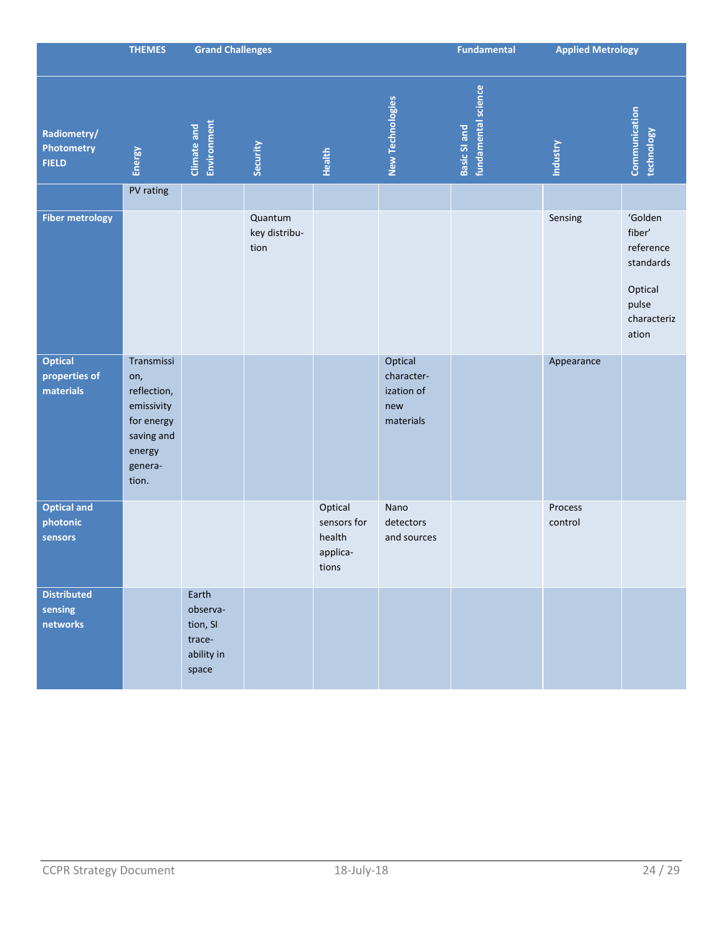|                                              | <b>THEMES</b>                                                                                            | <b>Grand Challenges</b>                                        |                                  |                                                       | <b>Fundamental</b>                                      | <b>Applied Metrology</b>                   |                    |                                                                                         |
|----------------------------------------------|----------------------------------------------------------------------------------------------------------|----------------------------------------------------------------|----------------------------------|-------------------------------------------------------|---------------------------------------------------------|--------------------------------------------|--------------------|-----------------------------------------------------------------------------------------|
| Radiometry/<br>Photometry<br><b>FIELD</b>    | Energy                                                                                                   | Environment<br>Climate and                                     | Security                         | Health                                                | <b>New Technologies</b>                                 | fundamental science<br><b>Basic SI and</b> | <b>Industry</b>    | Communication<br>technology                                                             |
|                                              | PV rating                                                                                                |                                                                |                                  |                                                       |                                                         |                                            |                    |                                                                                         |
| <b>Fiber metrology</b>                       |                                                                                                          |                                                                | Quantum<br>key distribu-<br>tion |                                                       |                                                         |                                            | Sensing            | 'Golden<br>fiber'<br>reference<br>standards<br>Optical<br>pulse<br>characteriz<br>ation |
| <b>Optical</b><br>properties of<br>materials | Transmissi<br>on,<br>reflection,<br>emissivity<br>for energy<br>saving and<br>energy<br>genera-<br>tion. |                                                                |                                  |                                                       | Optical<br>character-<br>ization of<br>new<br>materials |                                            | Appearance         |                                                                                         |
| <b>Optical and</b><br>photonic<br>sensors    |                                                                                                          |                                                                |                                  | Optical<br>sensors for<br>health<br>applica-<br>tions | Nano<br>detectors<br>and sources                        |                                            | Process<br>control |                                                                                         |
| <b>Distributed</b><br>sensing<br>networks    |                                                                                                          | Earth<br>observa-<br>tion, SI<br>trace-<br>ability in<br>space |                                  |                                                       |                                                         |                                            |                    |                                                                                         |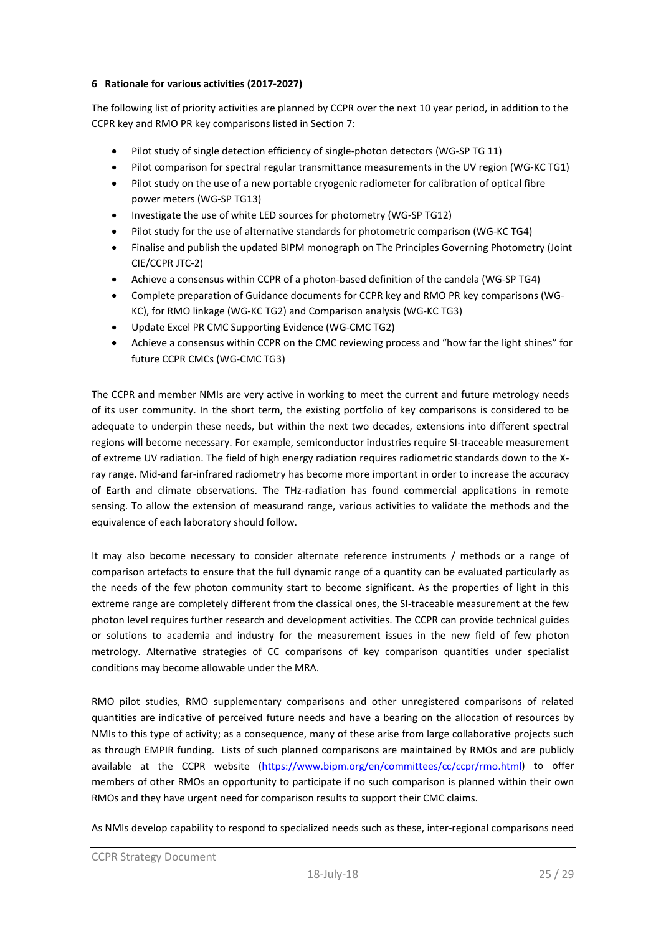# **6 Rationale for various activities (2017-2027)**

The following list of priority activities are planned by CCPR over the next 10 year period, in addition to the CCPR key and RMO PR key comparisons listed in Section 7:

- Pilot study of single detection efficiency of single-photon detectors (WG-SP TG 11)
- Pilot comparison for spectral regular transmittance measurements in the UV region (WG-KC TG1)
- Pilot study on the use of a new portable cryogenic radiometer for calibration of optical fibre power meters (WG-SP TG13)
- Investigate the use of white LED sources for photometry (WG-SP TG12)
- Pilot study for the use of alternative standards for photometric comparison (WG-KC TG4)
- Finalise and publish the updated BIPM monograph on The Principles Governing Photometry (Joint CIE/CCPR JTC-2)
- Achieve a consensus within CCPR of a photon-based definition of the candela (WG-SP TG4)
- Complete preparation of Guidance documents for CCPR key and RMO PR key comparisons (WG-KC), for RMO linkage (WG-KC TG2) and Comparison analysis (WG-KC TG3)
- Update Excel PR CMC Supporting Evidence (WG-CMC TG2)
- Achieve a consensus within CCPR on the CMC reviewing process and "how far the light shines" for future CCPR CMCs (WG-CMC TG3)

The CCPR and member NMIs are very active in working to meet the current and future metrology needs of its user community. In the short term, the existing portfolio of key comparisons is considered to be adequate to underpin these needs, but within the next two decades, extensions into different spectral regions will become necessary. For example, semiconductor industries require SI-traceable measurement of extreme UV radiation. The field of high energy radiation requires radiometric standards down to the Xray range. Mid-and far-infrared radiometry has become more important in order to increase the accuracy of Earth and climate observations. The THz-radiation has found commercial applications in remote sensing. To allow the extension of measurand range, various activities to validate the methods and the equivalence of each laboratory should follow.

It may also become necessary to consider alternate reference instruments / methods or a range of comparison artefacts to ensure that the full dynamic range of a quantity can be evaluated particularly as the needs of the few photon community start to become significant. As the properties of light in this extreme range are completely different from the classical ones, the SI-traceable measurement at the few photon level requires further research and development activities. The CCPR can provide technical guides or solutions to academia and industry for the measurement issues in the new field of few photon metrology. Alternative strategies of CC comparisons of key comparison quantities under specialist conditions may become allowable under the MRA.

RMO pilot studies, RMO supplementary comparisons and other unregistered comparisons of related quantities are indicative of perceived future needs and have a bearing on the allocation of resources by NMIs to this type of activity; as a consequence, many of these arise from large collaborative projects such as through EMPIR funding. Lists of such planned comparisons are maintained by RMOs and are publicly available at the CCPR website [\(https://www.bipm.org/en/committees/cc/ccpr/rmo.html\)](https://www.bipm.org/en/committees/cc/ccpr/rmo.html) to offer members of other RMOs an opportunity to participate if no such comparison is planned within their own RMOs and they have urgent need for comparison results to support their CMC claims.

As NMIs develop capability to respond to specialized needs such as these, inter-regional comparisons need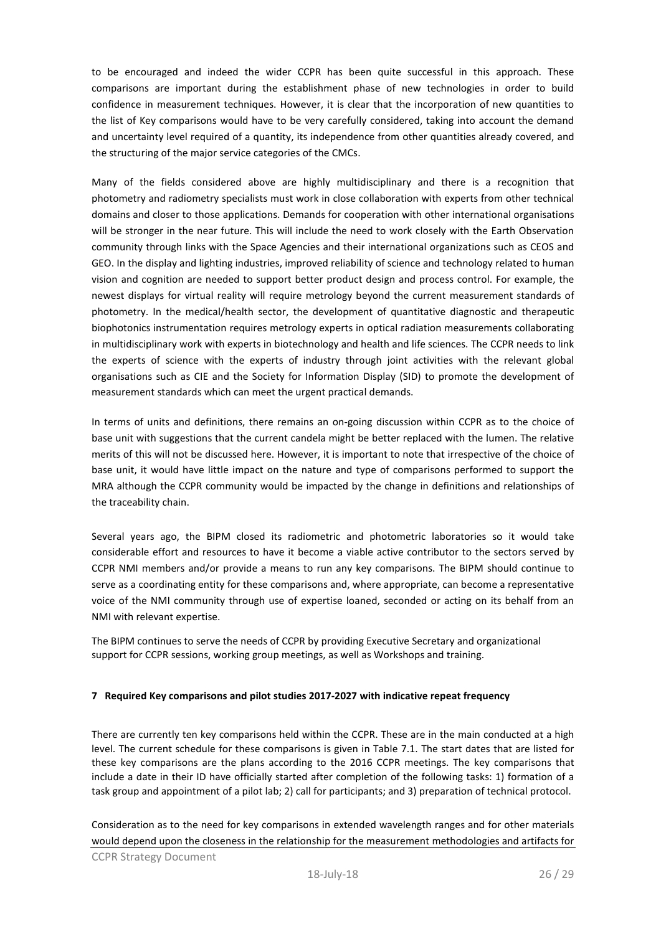to be encouraged and indeed the wider CCPR has been quite successful in this approach. These comparisons are important during the establishment phase of new technologies in order to build confidence in measurement techniques. However, it is clear that the incorporation of new quantities to the list of Key comparisons would have to be very carefully considered, taking into account the demand and uncertainty level required of a quantity, its independence from other quantities already covered, and the structuring of the major service categories of the CMCs.

Many of the fields considered above are highly multidisciplinary and there is a recognition that photometry and radiometry specialists must work in close collaboration with experts from other technical domains and closer to those applications. Demands for cooperation with other international organisations will be stronger in the near future. This will include the need to work closely with the Earth Observation community through links with the Space Agencies and their international organizations such as CEOS and GEO. In the display and lighting industries, improved reliability of science and technology related to human vision and cognition are needed to support better product design and process control. For example, the newest displays for virtual reality will require metrology beyond the current measurement standards of photometry. In the medical/health sector, the development of quantitative diagnostic and therapeutic biophotonics instrumentation requires metrology experts in optical radiation measurements collaborating in multidisciplinary work with experts in biotechnology and health and life sciences. The CCPR needs to link the experts of science with the experts of industry through joint activities with the relevant global organisations such as CIE and the Society for Information Display (SID) to promote the development of measurement standards which can meet the urgent practical demands.

In terms of units and definitions, there remains an on-going discussion within CCPR as to the choice of base unit with suggestions that the current candela might be better replaced with the lumen. The relative merits of this will not be discussed here. However, it is important to note that irrespective of the choice of base unit, it would have little impact on the nature and type of comparisons performed to support the MRA although the CCPR community would be impacted by the change in definitions and relationships of the traceability chain.

Several years ago, the BIPM closed its radiometric and photometric laboratories so it would take considerable effort and resources to have it become a viable active contributor to the sectors served by CCPR NMI members and/or provide a means to run any key comparisons. The BIPM should continue to serve as a coordinating entity for these comparisons and, where appropriate, can become a representative voice of the NMI community through use of expertise loaned, seconded or acting on its behalf from an NMI with relevant expertise.

The BIPM continues to serve the needs of CCPR by providing Executive Secretary and organizational support for CCPR sessions, working group meetings, as well as Workshops and training.

# **7 Required Key comparisons and pilot studies 2017-2027 with indicative repeat frequency**

There are currently ten key comparisons held within the CCPR. These are in the main conducted at a high level. The current schedule for these comparisons is given in Table 7.1. The start dates that are listed for these key comparisons are the plans according to the 2016 CCPR meetings. The key comparisons that include a date in their ID have officially started after completion of the following tasks: 1) formation of a task group and appointment of a pilot lab; 2) call for participants; and 3) preparation of technical protocol.

Consideration as to the need for key comparisons in extended wavelength ranges and for other materials would depend upon the closeness in the relationship for the measurement methodologies and artifacts for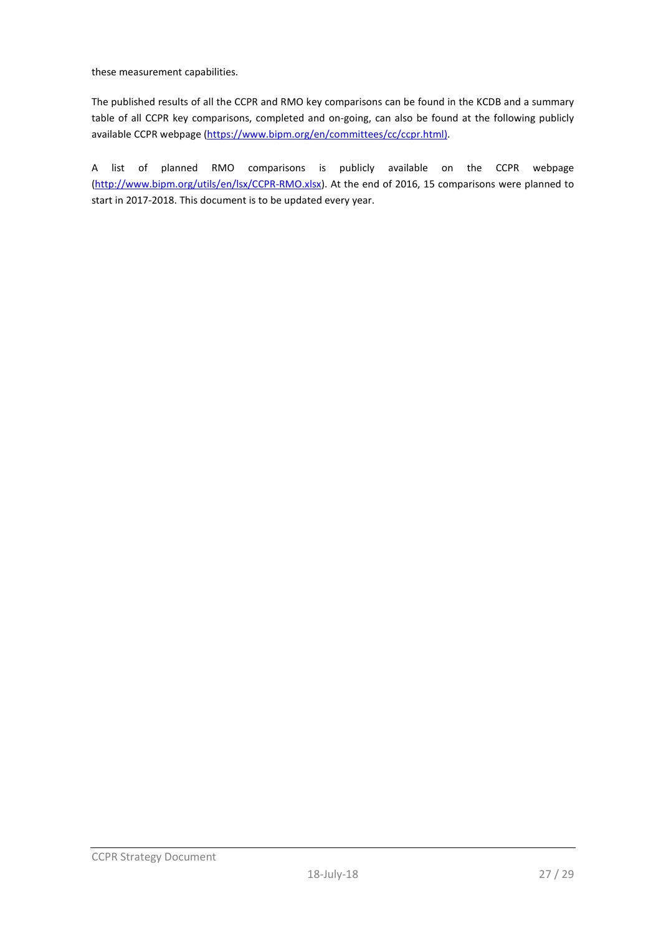these measurement capabilities.

The published results of all the CCPR and RMO key comparisons can be found in the KCDB and a summary table of all CCPR key comparisons, completed and on-going, can also be found at the following publicly available CCPR webpage [\(https://www.bipm.org/en/committees/cc/ccpr.html\)](https://www.bipm.org/en/committees/cc/ccpr/rmo.html).

A list of planned RMO comparisons is publicly available on the CCPR webpage [\(http://www.bipm.org/utils/en/lsx/CCPR-RMO.xlsx\)](http://www.bipm.org/utils/en/lsx/CCPR-RMO.xlsx). At the end of 2016, 15 comparisons were planned to start in 2017-2018. This document is to be updated every year.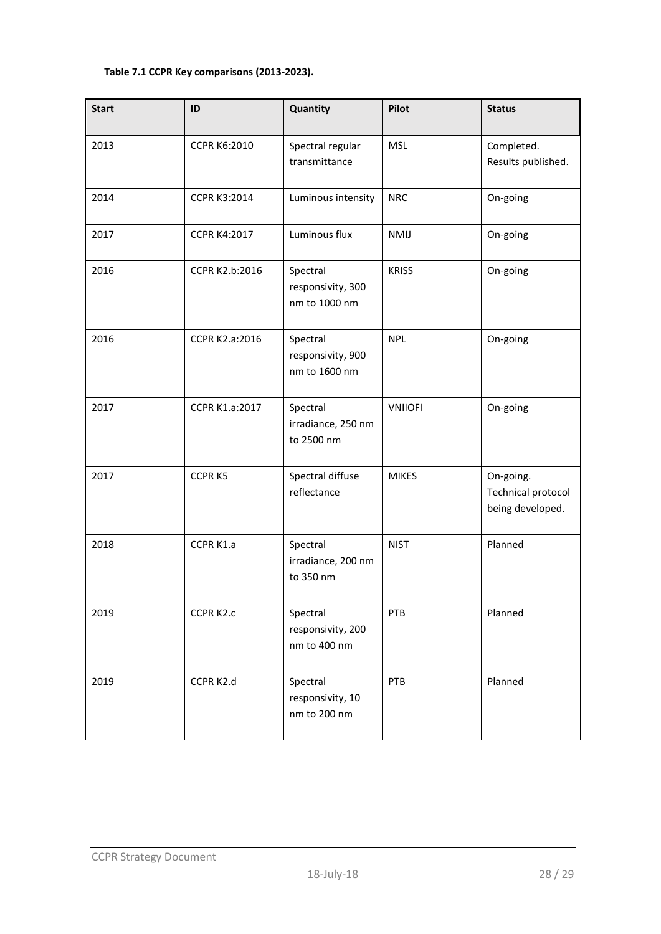# **Table 7.1 CCPR Key comparisons (2013-2023).**

| <b>Start</b> | ID                  | Quantity                                       | <b>Pilot</b>   | <b>Status</b>                                              |
|--------------|---------------------|------------------------------------------------|----------------|------------------------------------------------------------|
| 2013         | <b>CCPR K6:2010</b> | Spectral regular<br>transmittance              | <b>MSL</b>     | Completed.<br>Results published.                           |
| 2014         | <b>CCPR K3:2014</b> | Luminous intensity                             | <b>NRC</b>     | On-going                                                   |
| 2017         | <b>CCPR K4:2017</b> | Luminous flux                                  | <b>NMIJ</b>    | On-going                                                   |
| 2016         | CCPR K2.b:2016      | Spectral<br>responsivity, 300<br>nm to 1000 nm | <b>KRISS</b>   | On-going                                                   |
| 2016         | CCPR K2.a:2016      | Spectral<br>responsivity, 900<br>nm to 1600 nm | <b>NPL</b>     | On-going                                                   |
| 2017         | CCPR K1.a:2017      | Spectral<br>irradiance, 250 nm<br>to 2500 nm   | <b>VNIIOFI</b> | On-going                                                   |
| 2017         | CCPR K5             | Spectral diffuse<br>reflectance                | <b>MIKES</b>   | On-going.<br><b>Technical protocol</b><br>being developed. |
| 2018         | CCPR K1.a           | Spectral<br>irradiance, 200 nm<br>to 350 nm    | <b>NIST</b>    | Planned                                                    |
| 2019         | CCPR K2.c           | Spectral<br>responsivity, 200<br>nm to 400 nm  | PTB            | Planned                                                    |
| 2019         | CCPR K2.d           | Spectral<br>responsivity, 10<br>nm to 200 nm   | PTB            | Planned                                                    |